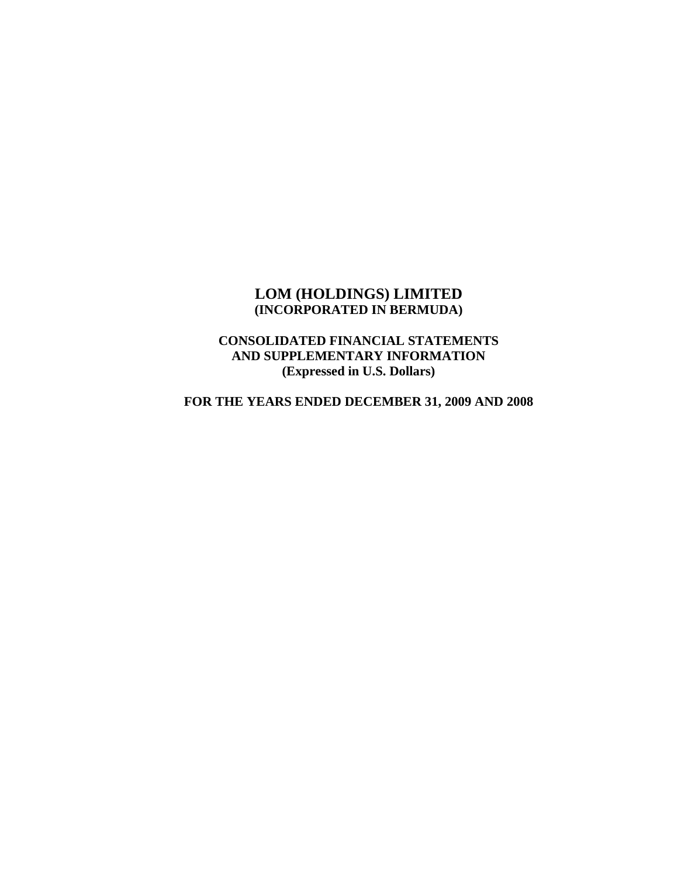## **LOM (HOLDINGS) LIMITED (INCORPORATED IN BERMUDA)**

## **CONSOLIDATED FINANCIAL STATEMENTS AND SUPPLEMENTARY INFORMATION (Expressed in U.S. Dollars)**

**FOR THE YEARS ENDED DECEMBER 31, 2009 AND 2008**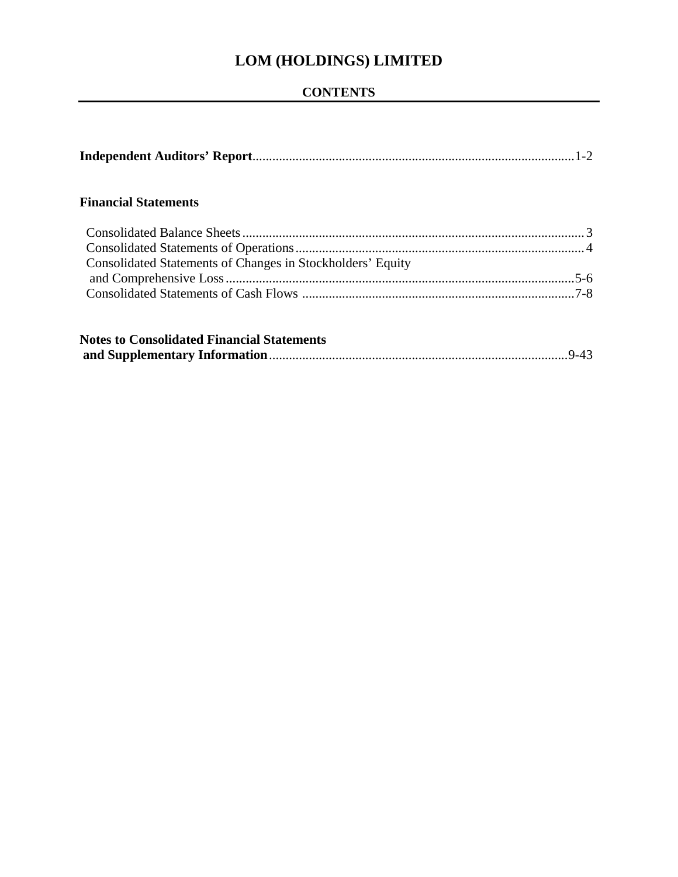## **CONTENTS**

## **Financial Statements**

| Consolidated Statements of Changes in Stockholders' Equity |  |
|------------------------------------------------------------|--|
|                                                            |  |
|                                                            |  |
|                                                            |  |

| <b>Notes to Consolidated Financial Statements</b> |  |
|---------------------------------------------------|--|
|                                                   |  |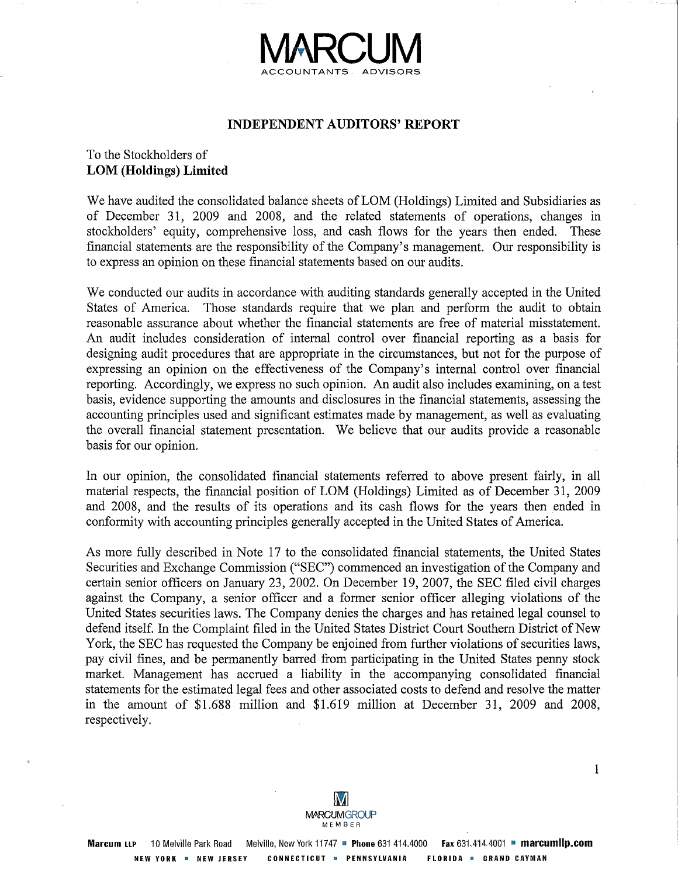

#### **INDEPENDENT AUDITORS' REPORT**

## To the Stockholders of **LOM (Holdings) Limited**

We have audited the consolidated balance sheets of LOM (Holdings) Limited and Subsidiaries as of December 31, 2009 and 2008, and the related statements of operations, changes in stockholders' equity, comprehensive loss, and cash flows for the years then ended. These financial statements are the responsibility of the Company's management. Our responsibility is to express an opinion on these financial statements based on our audits.

We conducted our audits in accordance with auditing standards generally accepted in the United States of America. Those standards require that we plan and perform the audit to obtain reasonable assurance about whether the financial statements are free of material misstatement. An audit includes consideration of internal control over financial reporting as a basis for designing audit procedures that are appropriate in the circumstances, but not for the purpose of expressing an opinion on the effectiveness of the Company's internal control over financial reporting. Accordingly, we express no such opinion. An audit also includes examining, on a test basis, evidence supporting the amounts and disclosures in the financial statements, assessing the accounting principles used and significant estimates made by management, as well as evaluating the overall financial statement presentation. We believe that our audits provide a reasonable basis for our opinion.

In our opinion, the consolidated financial statements referred to above present fairly, in all material respects, the financial position of LOM (Holdings) Limited as of December 31, 2009 and 2008, and the results of its operations and its cash flows for the years then ended in conformity with accounting principles generally accepted in the United States of America.

As more fully described in Note 17 to the consolidated financial statements, the United States Securities and Exchange Commission ("SEC") commenced an investigation of the Company and certain senior officers on January 23, 2002. On December 19, 2007, the SEC filed civil charges against the Company, a senior officer and a former senior officer alleging violations of the United States securities laws. The Company denies the charges and has retained legal counsel to defend itself. In the Complaint filed in the United States District Court Southern District of New York, the SEC has requested the Company be enjoined from further violations of securities laws, pay civil fines, and be permanently barred from participating in the United States penny stock market. Management has accrued a liability in the accompanying consolidated financial statements for the estimated legal fees and other associated costs to defend and resolve the matter in the amount of \$1.688 million and \$1.619 million at December 31, 2009 and 2008, respectively.

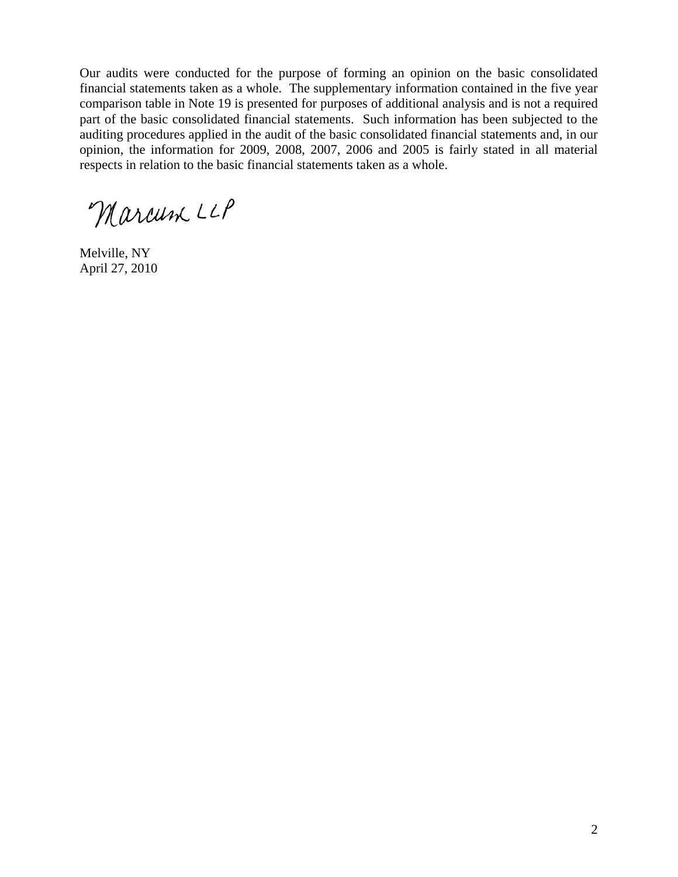Our audits were conducted for the purpose of forming an opinion on the basic consolidated financial statements taken as a whole. The supplementary information contained in the five year comparison table in Note 19 is presented for purposes of additional analysis and is not a required part of the basic consolidated financial statements. Such information has been subjected to the auditing procedures applied in the audit of the basic consolidated financial statements and, in our opinion, the information for 2009, 2008, 2007, 2006 and 2005 is fairly stated in all material respects in relation to the basic financial statements taken as a whole.

Marcum LLP

Melville, NY April 27, 2010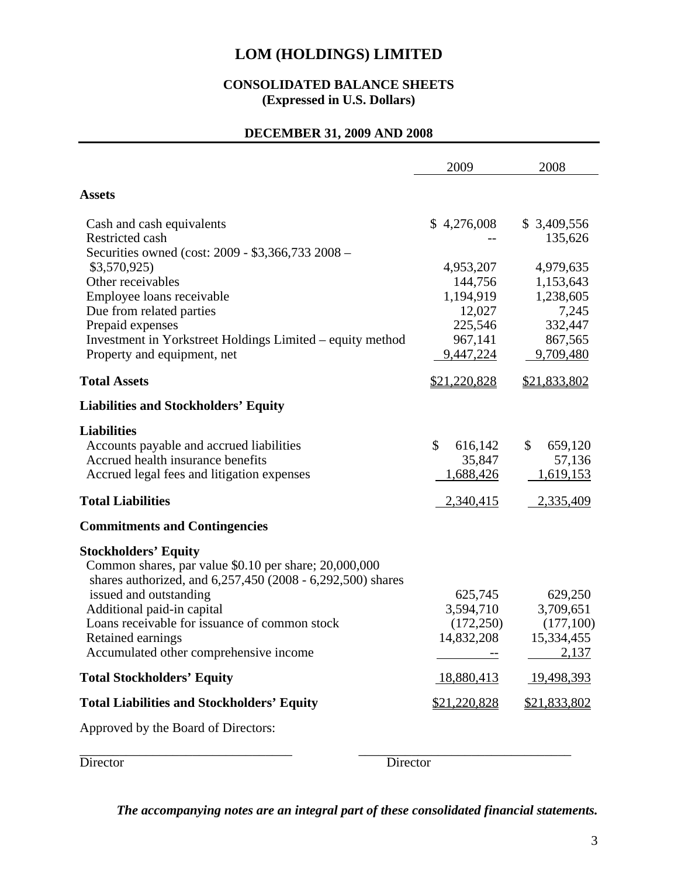## **CONSOLIDATED BALANCE SHEETS (Expressed in U.S. Dollars)**

## **DECEMBER 31, 2009 AND 2008**

|                                                                                                                                                                                                                                                                                                                            | 2009                                                                           | 2008                                                                            |
|----------------------------------------------------------------------------------------------------------------------------------------------------------------------------------------------------------------------------------------------------------------------------------------------------------------------------|--------------------------------------------------------------------------------|---------------------------------------------------------------------------------|
| <b>Assets</b>                                                                                                                                                                                                                                                                                                              |                                                                                |                                                                                 |
| Cash and cash equivalents<br>Restricted cash<br>Securities owned (cost: 2009 - \$3,366,733 2008 –                                                                                                                                                                                                                          | \$4,276,008                                                                    | \$ 3,409,556<br>135,626                                                         |
| \$3,570,925<br>Other receivables<br>Employee loans receivable<br>Due from related parties<br>Prepaid expenses<br>Investment in Yorkstreet Holdings Limited – equity method<br>Property and equipment, net                                                                                                                  | 4,953,207<br>144,756<br>1,194,919<br>12,027<br>225,546<br>967,141<br>9,447,224 | 4,979,635<br>1,153,643<br>1,238,605<br>7,245<br>332,447<br>867,565<br>9,709,480 |
| <b>Total Assets</b>                                                                                                                                                                                                                                                                                                        | <u>\$21,220,828</u>                                                            | \$21,833,802                                                                    |
| <b>Liabilities and Stockholders' Equity</b>                                                                                                                                                                                                                                                                                |                                                                                |                                                                                 |
| <b>Liabilities</b><br>Accounts payable and accrued liabilities<br>Accrued health insurance benefits<br>Accrued legal fees and litigation expenses                                                                                                                                                                          | \$<br>616,142<br>35,847<br>1,688,426                                           | \$<br>659,120<br>57,136<br>1,619,153                                            |
| <b>Total Liabilities</b>                                                                                                                                                                                                                                                                                                   | 2,340,415                                                                      | 2,335,409                                                                       |
| <b>Commitments and Contingencies</b>                                                                                                                                                                                                                                                                                       |                                                                                |                                                                                 |
| <b>Stockholders' Equity</b><br>Common shares, par value \$0.10 per share; 20,000,000<br>shares authorized, and 6,257,450 (2008 - 6,292,500) shares<br>issued and outstanding<br>Additional paid-in capital<br>Loans receivable for issuance of common stock<br>Retained earnings<br>Accumulated other comprehensive income | 625,745<br>3,594,710<br>(172, 250)<br>14,832,208                               | 629,250<br>3,709,651<br>(177,100)<br>15,334,455<br>2,137                        |
| <b>Total Stockholders' Equity</b>                                                                                                                                                                                                                                                                                          | 18,880,413                                                                     | 19,498,393                                                                      |
| <b>Total Liabilities and Stockholders' Equity</b>                                                                                                                                                                                                                                                                          | \$21,220,828                                                                   | \$21,833,802                                                                    |
| Approved by the Board of Directors:                                                                                                                                                                                                                                                                                        |                                                                                |                                                                                 |

\_\_\_\_\_\_\_\_\_\_\_\_\_\_\_\_\_\_\_\_\_\_\_\_\_\_\_\_\_\_\_\_ \_\_\_\_\_\_\_\_\_\_\_\_\_\_\_\_\_\_\_\_\_\_\_\_\_\_\_\_\_\_\_\_ Director Director Director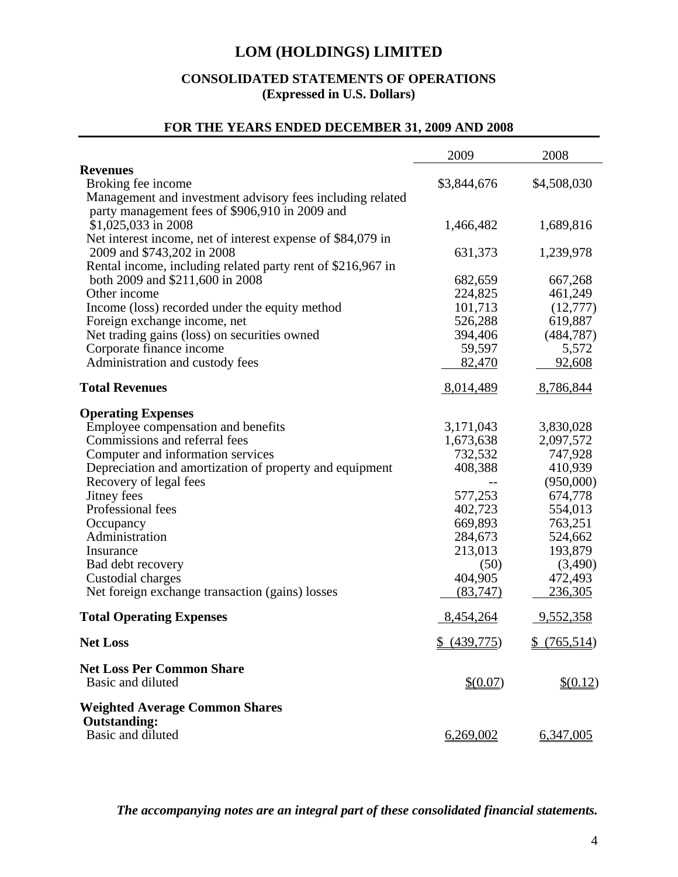## **CONSOLIDATED STATEMENTS OF OPERATIONS (Expressed in U.S. Dollars)**

# **FOR THE YEARS ENDED DECEMBER 31, 2009 AND 2008**

|                                                                                           | 2009         | 2008        |
|-------------------------------------------------------------------------------------------|--------------|-------------|
| <b>Revenues</b>                                                                           |              |             |
| Broking fee income                                                                        | \$3,844,676  | \$4,508,030 |
| Management and investment advisory fees including related                                 |              |             |
| party management fees of \$906,910 in 2009 and                                            |              |             |
| \$1,025,033 in 2008                                                                       | 1,466,482    | 1,689,816   |
| Net interest income, net of interest expense of \$84,079 in<br>2009 and \$743,202 in 2008 | 631,373      | 1,239,978   |
| Rental income, including related party rent of \$216,967 in                               |              |             |
| both 2009 and \$211,600 in 2008                                                           | 682,659      | 667,268     |
| Other income                                                                              | 224,825      | 461,249     |
| Income (loss) recorded under the equity method                                            | 101,713      | (12,777)    |
| Foreign exchange income, net                                                              | 526,288      | 619,887     |
| Net trading gains (loss) on securities owned                                              | 394,406      | (484, 787)  |
| Corporate finance income                                                                  | 59,597       | 5,572       |
| Administration and custody fees                                                           | 82,470       | 92,608      |
| <b>Total Revenues</b>                                                                     | 8,014,489    | 8,786,844   |
| <b>Operating Expenses</b>                                                                 |              |             |
| Employee compensation and benefits                                                        | 3,171,043    | 3,830,028   |
| Commissions and referral fees                                                             | 1,673,638    | 2,097,572   |
| Computer and information services                                                         | 732,532      | 747,928     |
| Depreciation and amortization of property and equipment                                   | 408,388      | 410,939     |
| Recovery of legal fees                                                                    |              | (950,000)   |
| Jitney fees                                                                               | 577,253      | 674,778     |
| Professional fees                                                                         | 402,723      | 554,013     |
| Occupancy                                                                                 | 669,893      | 763,251     |
| Administration                                                                            | 284,673      | 524,662     |
| Insurance                                                                                 | 213,013      | 193,879     |
| Bad debt recovery                                                                         | (50)         | (3,490)     |
| Custodial charges                                                                         | 404,905      | 472,493     |
| Net foreign exchange transaction (gains) losses                                           | (83,747)     | 236,305     |
| <b>Total Operating Expenses</b>                                                           | 8,454,264    | 9,552,358   |
| <b>Net Loss</b>                                                                           | \$ (439,775) | \$(765,514) |
| <b>Net Loss Per Common Share</b>                                                          |              |             |
| Basic and diluted                                                                         | \$ (0.07)    | \$(0.12)    |
| <b>Weighted Average Common Shares</b>                                                     |              |             |
| <b>Outstanding:</b>                                                                       |              |             |
| Basic and diluted                                                                         | 6,269,002    | 6,347,005   |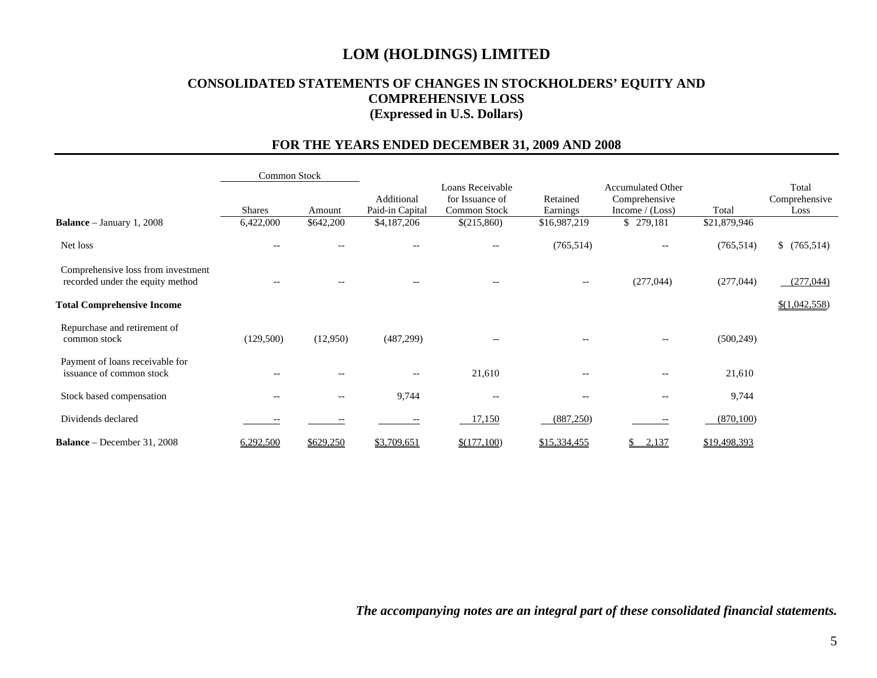## **CONSOLIDATED STATEMENTS OF CHANGES IN STOCKHOLDERS' EQUITY AND COMPREHENSIVE LOSS (Expressed in U.S. Dollars)**

## **FOR THE YEARS ENDED DECEMBER 31, 2009 AND 2008**

|                                                                        | <b>Common Stock</b>      |                                                     |                               |                                                       |                                                     |                                                               |              |                                |
|------------------------------------------------------------------------|--------------------------|-----------------------------------------------------|-------------------------------|-------------------------------------------------------|-----------------------------------------------------|---------------------------------------------------------------|--------------|--------------------------------|
|                                                                        | <b>Shares</b>            | Amount                                              | Additional<br>Paid-in Capital | Loans Receivable<br>for Issuance of<br>Common Stock   | Retained<br>Earnings                                | <b>Accumulated Other</b><br>Comprehensive<br>Income $/(Loss)$ | Total        | Total<br>Comprehensive<br>Loss |
| <b>Balance</b> – January 1, 2008                                       | 6,422,000                | \$642,200                                           | \$4,187,206                   | \$(215,860)                                           | \$16,987,219                                        | \$279,181                                                     | \$21,879,946 |                                |
| Net loss                                                               | $\overline{\phantom{m}}$ | $- -$                                               | $-$                           | $\hspace{0.05cm} - \hspace{0.05cm} - \hspace{0.05cm}$ | (765, 514)                                          | $- -$                                                         | (765, 514)   | \$(765,514)                    |
| Comprehensive loss from investment<br>recorded under the equity method | $-\,-$                   | $\hspace{0.05cm} -\hspace{0.05cm} -\hspace{0.05cm}$ | $- -$                         | $\hspace{0.05cm} - \hspace{0.05cm} - \hspace{0.05cm}$ | $\hspace{0.05cm} -\hspace{0.05cm} -\hspace{0.05cm}$ | (277, 044)                                                    | (277, 044)   | (277,044)                      |
| <b>Total Comprehensive Income</b>                                      |                          |                                                     |                               |                                                       |                                                     |                                                               |              | \$(1,042,558)                  |
| Repurchase and retirement of<br>common stock                           | (129,500)                | (12,950)                                            | (487,299)                     |                                                       |                                                     | $-\!$ $\!-$                                                   | (500, 249)   |                                |
| Payment of loans receivable for<br>issuance of common stock            | $-\,-$                   | $- -$                                               | $-$                           | 21,610                                                | $-$                                                 | $\qquad \qquad -$                                             | 21,610       |                                |
| Stock based compensation                                               | $-\,-$                   | $- -$                                               | 9,744                         | $-$                                                   | $-$                                                 | $\hspace{0.05cm} -\hspace{0.05cm} -\hspace{0.05cm}$           | 9,744        |                                |
| Dividends declared                                                     |                          |                                                     | --                            | 17,150                                                | (887,250)                                           | $\overline{\phantom{m}}$                                      | (870, 100)   |                                |
| <b>Balance</b> – December 31, 2008                                     | 6,292,500                | \$629,250                                           | \$3,709,651                   | \$(177,100)                                           | \$15,334,455                                        | 2,137<br>\$                                                   | \$19,498,393 |                                |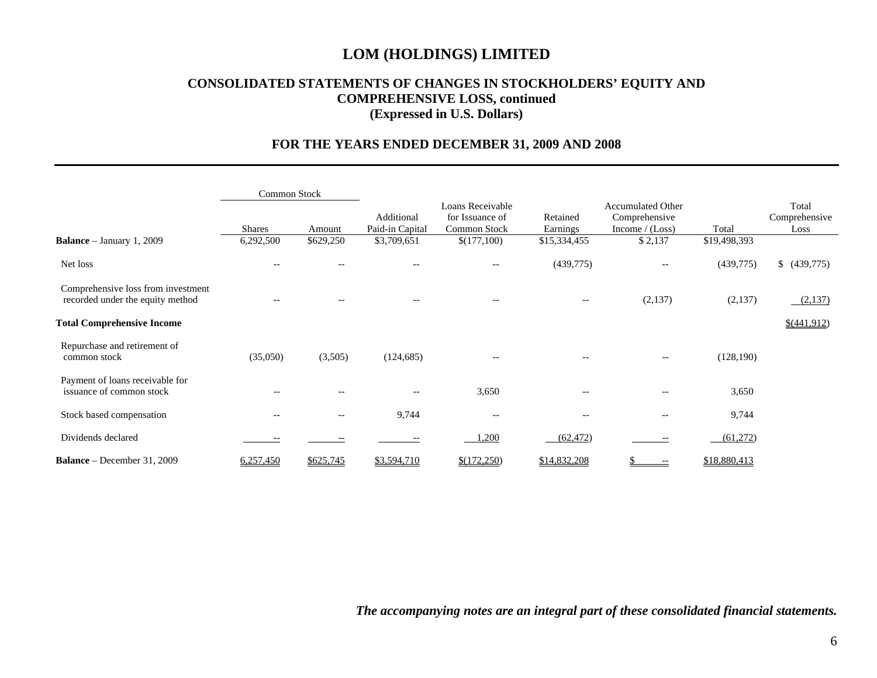## **CONSOLIDATED STATEMENTS OF CHANGES IN STOCKHOLDERS' EQUITY AND COMPREHENSIVE LOSS, continued (Expressed in U.S. Dollars)**

## **FOR THE YEARS ENDED DECEMBER 31, 2009 AND 2008**

|                                                                        | Common Stock  |                          |                               |                                                     |                                                       |                                                               |              |                                |
|------------------------------------------------------------------------|---------------|--------------------------|-------------------------------|-----------------------------------------------------|-------------------------------------------------------|---------------------------------------------------------------|--------------|--------------------------------|
|                                                                        | <b>Shares</b> | Amount                   | Additional<br>Paid-in Capital | Loans Receivable<br>for Issuance of<br>Common Stock | Retained<br>Earnings                                  | <b>Accumulated Other</b><br>Comprehensive<br>Income $/(Loss)$ | Total        | Total<br>Comprehensive<br>Loss |
| <b>Balance</b> – January 1, 2009                                       | 6,292,500     | \$629,250                | \$3,709,651                   | \$(177,100)                                         | \$15,334,455                                          | \$2,137                                                       | \$19,498,393 |                                |
| Net loss                                                               | $-$           |                          | $-$                           | $- -$                                               | (439,775)                                             | $- -$                                                         | (439,775)    | (439,775)                      |
| Comprehensive loss from investment<br>recorded under the equity method |               |                          |                               | $- -$                                               | $\hspace{0.04in}$ $\hspace{0.04in}$                   | (2,137)                                                       | (2,137)      | (2,137)                        |
| <b>Total Comprehensive Income</b>                                      |               |                          |                               |                                                     |                                                       |                                                               |              | \$(441,912)                    |
| Repurchase and retirement of<br>common stock                           | (35,050)      | (3,505)                  | (124, 685)                    | $-\!$ $\!-$                                         | $\hspace{0.05cm} - \hspace{0.05cm} - \hspace{0.05cm}$ | $-\!$ $\!-$                                                   | (128, 190)   |                                |
| Payment of loans receivable for<br>issuance of common stock            |               | $-$                      | $- -$                         | 3,650                                               | $-\,-$                                                | --                                                            | 3,650        |                                |
| Stock based compensation                                               | $-$           | $\overline{\phantom{m}}$ | 9,744                         | --                                                  | $- -$                                                 | --                                                            | 9,744        |                                |
| Dividends declared                                                     |               |                          |                               | 1,200                                               | (62, 472)                                             | $- -$                                                         | (61,272)     |                                |
| <b>Balance</b> – December 31, 2009                                     | 6,257,450     | \$625,745                | \$3,594,710                   | \$(172,250)                                         | \$14,832,208                                          | \$<br>$--$                                                    | \$18,880,413 |                                |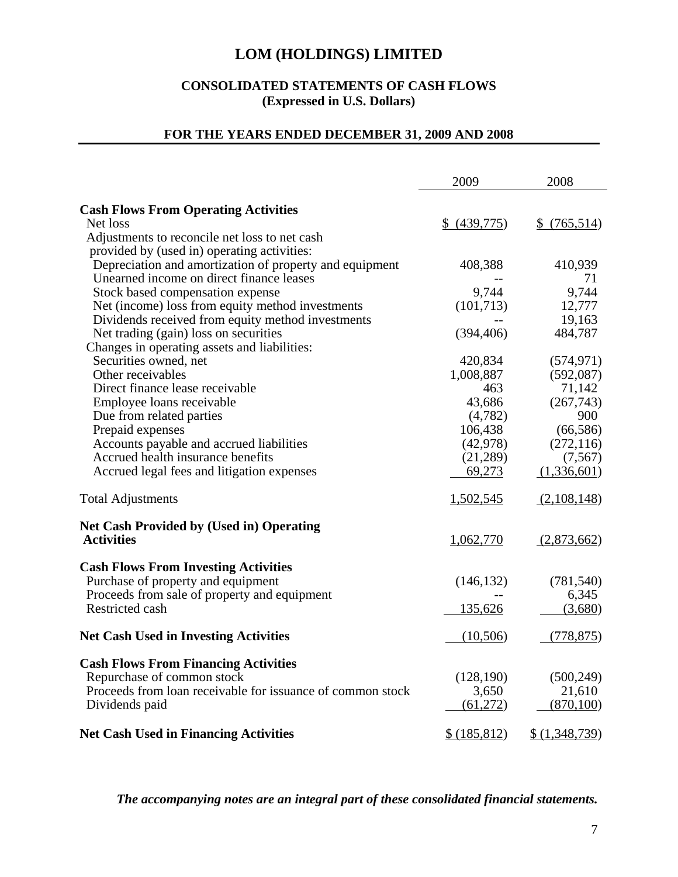## **CONSOLIDATED STATEMENTS OF CASH FLOWS (Expressed in U.S. Dollars)**

## **FOR THE YEARS ENDED DECEMBER 31, 2009 AND 2008**

|                                                            | 2009          | 2008           |
|------------------------------------------------------------|---------------|----------------|
| <b>Cash Flows From Operating Activities</b>                |               |                |
| Net loss                                                   | \$ (439,775)  | \$(765,514)    |
| Adjustments to reconcile net loss to net cash              |               |                |
| provided by (used in) operating activities:                |               |                |
| Depreciation and amortization of property and equipment    | 408,388       | 410,939        |
| Unearned income on direct finance leases                   |               | 71             |
| Stock based compensation expense                           | 9,744         | 9,744          |
| Net (income) loss from equity method investments           | (101, 713)    | 12,777         |
| Dividends received from equity method investments          |               | 19,163         |
| Net trading (gain) loss on securities                      | (394, 406)    | 484,787        |
| Changes in operating assets and liabilities:               |               |                |
| Securities owned, net                                      | 420,834       | (574, 971)     |
| Other receivables                                          | 1,008,887     | (592,087)      |
| Direct finance lease receivable                            | 463           | 71,142         |
| Employee loans receivable                                  | 43,686        | (267,743)      |
| Due from related parties                                   | (4,782)       | 900            |
| Prepaid expenses                                           | 106,438       | (66, 586)      |
| Accounts payable and accrued liabilities                   | (42, 978)     | (272, 116)     |
| Accrued health insurance benefits                          | (21, 289)     | (7,567)        |
| Accrued legal fees and litigation expenses                 | 69,273        | (1,336,601)    |
| <b>Total Adjustments</b>                                   | 1,502,545     | (2,108,148)    |
| <b>Net Cash Provided by (Used in) Operating</b>            |               |                |
| <b>Activities</b>                                          | 1,062,770     | (2,873,662)    |
| <b>Cash Flows From Investing Activities</b>                |               |                |
| Purchase of property and equipment                         | (146, 132)    | (781, 540)     |
| Proceeds from sale of property and equipment               |               | 6,345          |
| Restricted cash                                            | 135,626       | (3,680)        |
| <b>Net Cash Used in Investing Activities</b>               | (10,506)      | (778, 875)     |
| <b>Cash Flows From Financing Activities</b>                |               |                |
| Repurchase of common stock                                 | (128, 190)    | (500, 249)     |
| Proceeds from loan receivable for issuance of common stock | 3,650         | 21,610         |
| Dividends paid                                             | (61,272)      | (870, 100)     |
| <b>Net Cash Used in Financing Activities</b>               | \$ (185, 812) | \$ (1,348,739) |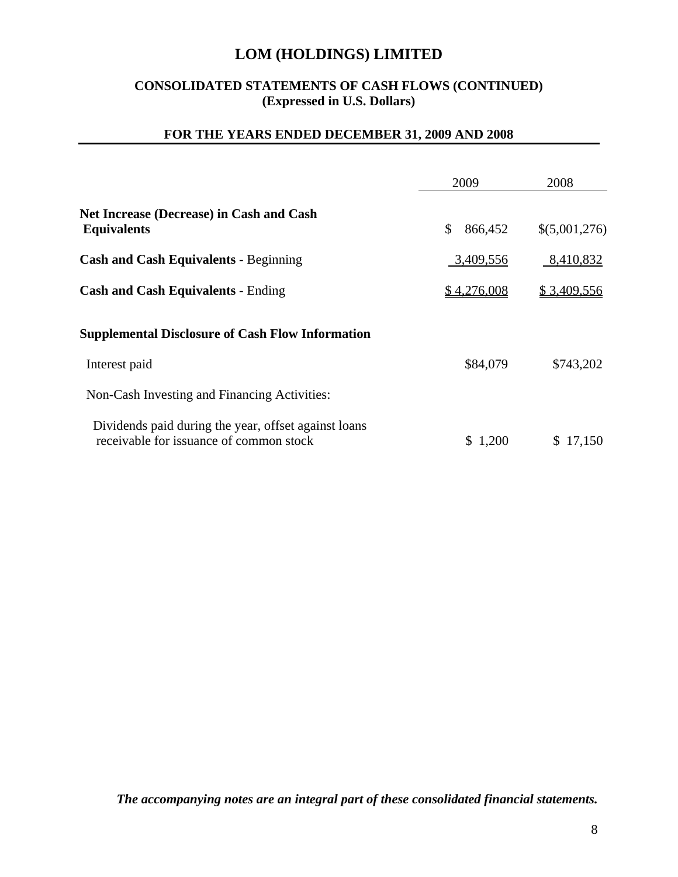## **CONSOLIDATED STATEMENTS OF CASH FLOWS (CONTINUED) (Expressed in U.S. Dollars)**

## **FOR THE YEARS ENDED DECEMBER 31, 2009 AND 2008**

|                                                                                                 | 2009          | 2008          |
|-------------------------------------------------------------------------------------------------|---------------|---------------|
| <b>Net Increase (Decrease) in Cash and Cash</b><br><b>Equivalents</b>                           | \$<br>866,452 | \$(5,001,276) |
| <b>Cash and Cash Equivalents - Beginning</b>                                                    | 3,409,556     | 8,410,832     |
| <b>Cash and Cash Equivalents - Ending</b>                                                       | \$4,276,008   | \$3,409,556   |
| <b>Supplemental Disclosure of Cash Flow Information</b>                                         |               |               |
| Interest paid                                                                                   | \$84,079      | \$743,202     |
| Non-Cash Investing and Financing Activities:                                                    |               |               |
| Dividends paid during the year, offset against loans<br>receivable for issuance of common stock | \$1,200       | \$17,150      |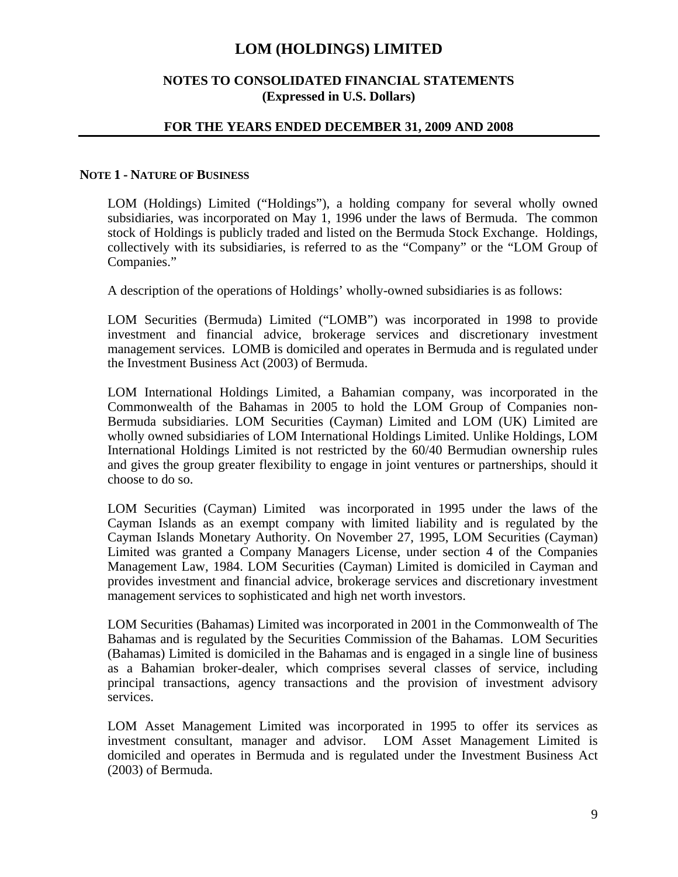### **NOTES TO CONSOLIDATED FINANCIAL STATEMENTS (Expressed in U.S. Dollars)**

### **FOR THE YEARS ENDED DECEMBER 31, 2009 AND 2008**

#### **NOTE 1 - NATURE OF BUSINESS**

LOM (Holdings) Limited ("Holdings"), a holding company for several wholly owned subsidiaries, was incorporated on May 1, 1996 under the laws of Bermuda. The common stock of Holdings is publicly traded and listed on the Bermuda Stock Exchange. Holdings, collectively with its subsidiaries, is referred to as the "Company" or the "LOM Group of Companies."

A description of the operations of Holdings' wholly-owned subsidiaries is as follows:

LOM Securities (Bermuda) Limited ("LOMB") was incorporated in 1998 to provide investment and financial advice, brokerage services and discretionary investment management services. LOMB is domiciled and operates in Bermuda and is regulated under the Investment Business Act (2003) of Bermuda.

LOM International Holdings Limited, a Bahamian company, was incorporated in the Commonwealth of the Bahamas in 2005 to hold the LOM Group of Companies non-Bermuda subsidiaries. LOM Securities (Cayman) Limited and LOM (UK) Limited are wholly owned subsidiaries of LOM International Holdings Limited. Unlike Holdings, LOM International Holdings Limited is not restricted by the 60/40 Bermudian ownership rules and gives the group greater flexibility to engage in joint ventures or partnerships, should it choose to do so.

LOM Securities (Cayman) Limited was incorporated in 1995 under the laws of the Cayman Islands as an exempt company with limited liability and is regulated by the Cayman Islands Monetary Authority. On November 27, 1995, LOM Securities (Cayman) Limited was granted a Company Managers License, under section 4 of the Companies Management Law, 1984. LOM Securities (Cayman) Limited is domiciled in Cayman and provides investment and financial advice, brokerage services and discretionary investment management services to sophisticated and high net worth investors.

LOM Securities (Bahamas) Limited was incorporated in 2001 in the Commonwealth of The Bahamas and is regulated by the Securities Commission of the Bahamas. LOM Securities (Bahamas) Limited is domiciled in the Bahamas and is engaged in a single line of business as a Bahamian broker-dealer, which comprises several classes of service, including principal transactions, agency transactions and the provision of investment advisory services.

LOM Asset Management Limited was incorporated in 1995 to offer its services as investment consultant, manager and advisor. LOM Asset Management Limited is domiciled and operates in Bermuda and is regulated under the Investment Business Act (2003) of Bermuda.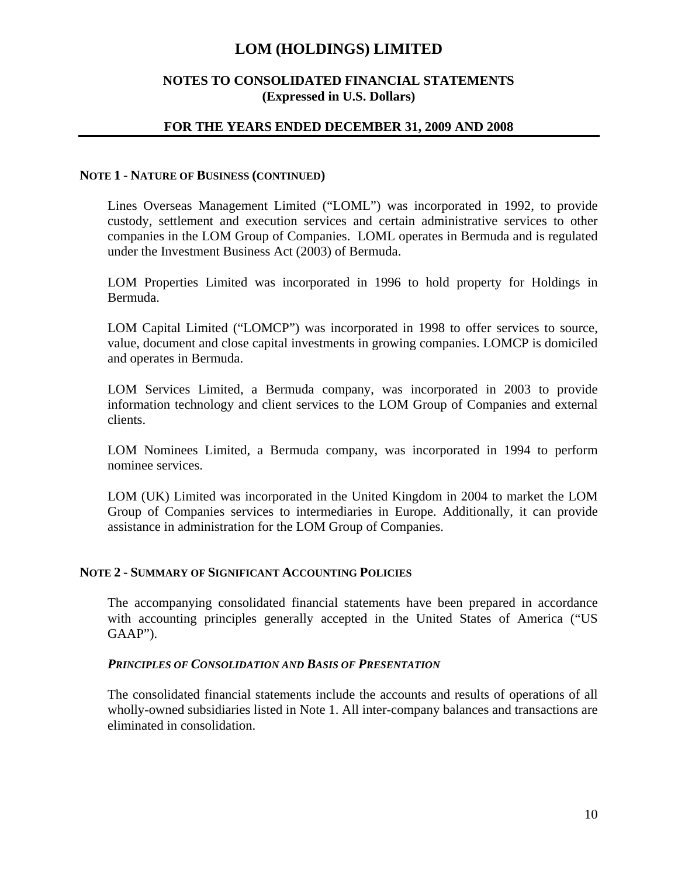## **NOTES TO CONSOLIDATED FINANCIAL STATEMENTS (Expressed in U.S. Dollars)**

### **FOR THE YEARS ENDED DECEMBER 31, 2009 AND 2008**

#### **NOTE 1 - NATURE OF BUSINESS (CONTINUED)**

Lines Overseas Management Limited ("LOML") was incorporated in 1992, to provide custody, settlement and execution services and certain administrative services to other companies in the LOM Group of Companies. LOML operates in Bermuda and is regulated under the Investment Business Act (2003) of Bermuda.

LOM Properties Limited was incorporated in 1996 to hold property for Holdings in Bermuda.

LOM Capital Limited ("LOMCP") was incorporated in 1998 to offer services to source, value, document and close capital investments in growing companies. LOMCP is domiciled and operates in Bermuda.

LOM Services Limited, a Bermuda company, was incorporated in 2003 to provide information technology and client services to the LOM Group of Companies and external clients.

LOM Nominees Limited, a Bermuda company, was incorporated in 1994 to perform nominee services.

LOM (UK) Limited was incorporated in the United Kingdom in 2004 to market the LOM Group of Companies services to intermediaries in Europe. Additionally, it can provide assistance in administration for the LOM Group of Companies.

#### **NOTE 2 - SUMMARY OF SIGNIFICANT ACCOUNTING POLICIES**

The accompanying consolidated financial statements have been prepared in accordance with accounting principles generally accepted in the United States of America ("US GAAP").

#### *PRINCIPLES OF CONSOLIDATION AND BASIS OF PRESENTATION*

The consolidated financial statements include the accounts and results of operations of all wholly-owned subsidiaries listed in Note 1. All inter-company balances and transactions are eliminated in consolidation.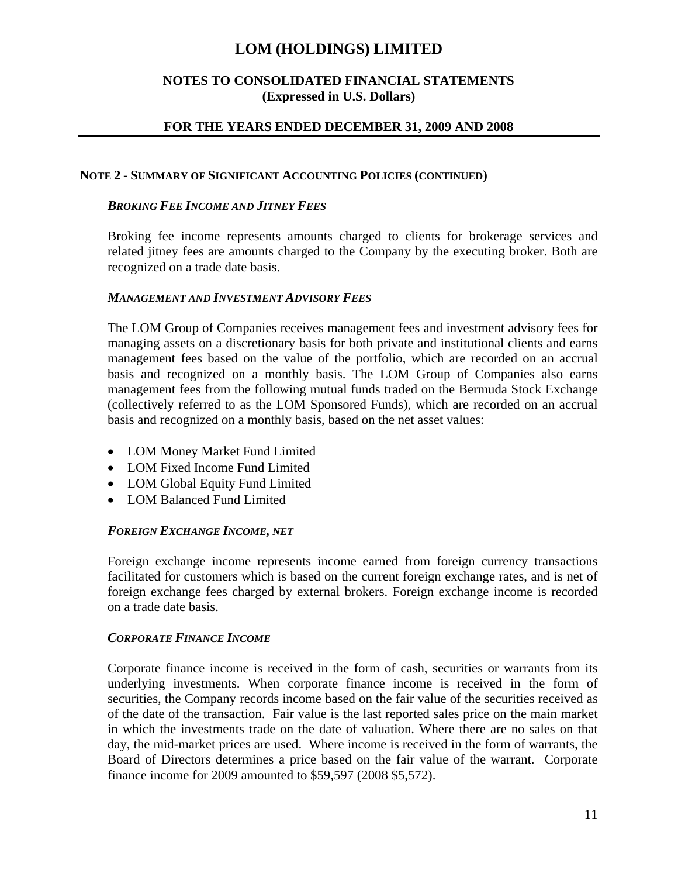## **NOTES TO CONSOLIDATED FINANCIAL STATEMENTS (Expressed in U.S. Dollars)**

## **FOR THE YEARS ENDED DECEMBER 31, 2009 AND 2008**

### **NOTE 2 - SUMMARY OF SIGNIFICANT ACCOUNTING POLICIES (CONTINUED)**

### *BROKING FEE INCOME AND JITNEY FEES*

Broking fee income represents amounts charged to clients for brokerage services and related jitney fees are amounts charged to the Company by the executing broker. Both are recognized on a trade date basis.

### *MANAGEMENT AND INVESTMENT ADVISORY FEES*

The LOM Group of Companies receives management fees and investment advisory fees for managing assets on a discretionary basis for both private and institutional clients and earns management fees based on the value of the portfolio, which are recorded on an accrual basis and recognized on a monthly basis. The LOM Group of Companies also earns management fees from the following mutual funds traded on the Bermuda Stock Exchange (collectively referred to as the LOM Sponsored Funds), which are recorded on an accrual basis and recognized on a monthly basis, based on the net asset values:

- LOM Money Market Fund Limited
- LOM Fixed Income Fund Limited
- LOM Global Equity Fund Limited
- LOM Balanced Fund Limited

## *FOREIGN EXCHANGE INCOME, NET*

Foreign exchange income represents income earned from foreign currency transactions facilitated for customers which is based on the current foreign exchange rates, and is net of foreign exchange fees charged by external brokers. Foreign exchange income is recorded on a trade date basis.

## *CORPORATE FINANCE INCOME*

Corporate finance income is received in the form of cash, securities or warrants from its underlying investments. When corporate finance income is received in the form of securities, the Company records income based on the fair value of the securities received as of the date of the transaction. Fair value is the last reported sales price on the main market in which the investments trade on the date of valuation. Where there are no sales on that day, the mid-market prices are used. Where income is received in the form of warrants, the Board of Directors determines a price based on the fair value of the warrant. Corporate finance income for 2009 amounted to \$59,597 (2008 \$5,572).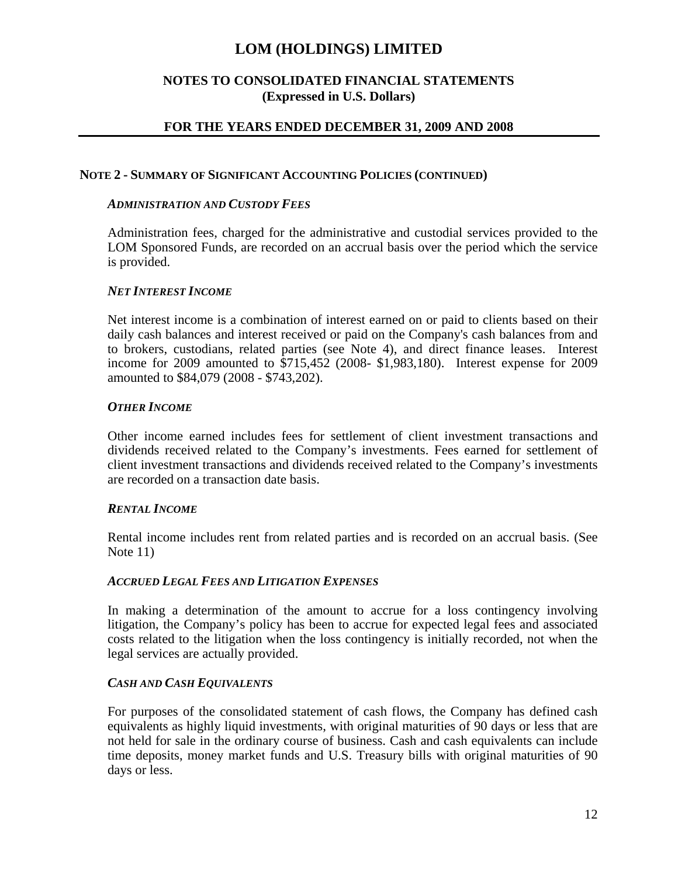## **NOTES TO CONSOLIDATED FINANCIAL STATEMENTS (Expressed in U.S. Dollars)**

## **FOR THE YEARS ENDED DECEMBER 31, 2009 AND 2008**

#### **NOTE 2 - SUMMARY OF SIGNIFICANT ACCOUNTING POLICIES (CONTINUED)**

#### *ADMINISTRATION AND CUSTODY FEES*

Administration fees, charged for the administrative and custodial services provided to the LOM Sponsored Funds, are recorded on an accrual basis over the period which the service is provided.

### *NET INTEREST INCOME*

Net interest income is a combination of interest earned on or paid to clients based on their daily cash balances and interest received or paid on the Company's cash balances from and to brokers, custodians, related parties (see Note 4), and direct finance leases. Interest income for 2009 amounted to \$715,452 (2008- \$1,983,180). Interest expense for 2009 amounted to \$84,079 (2008 - \$743,202).

### *OTHER INCOME*

Other income earned includes fees for settlement of client investment transactions and dividends received related to the Company's investments. Fees earned for settlement of client investment transactions and dividends received related to the Company's investments are recorded on a transaction date basis.

## *RENTAL INCOME*

Rental income includes rent from related parties and is recorded on an accrual basis. (See Note 11)

## *ACCRUED LEGAL FEES AND LITIGATION EXPENSES*

In making a determination of the amount to accrue for a loss contingency involving litigation, the Company's policy has been to accrue for expected legal fees and associated costs related to the litigation when the loss contingency is initially recorded, not when the legal services are actually provided.

## *CASH AND CASH EQUIVALENTS*

For purposes of the consolidated statement of cash flows, the Company has defined cash equivalents as highly liquid investments, with original maturities of 90 days or less that are not held for sale in the ordinary course of business. Cash and cash equivalents can include time deposits, money market funds and U.S. Treasury bills with original maturities of 90 days or less.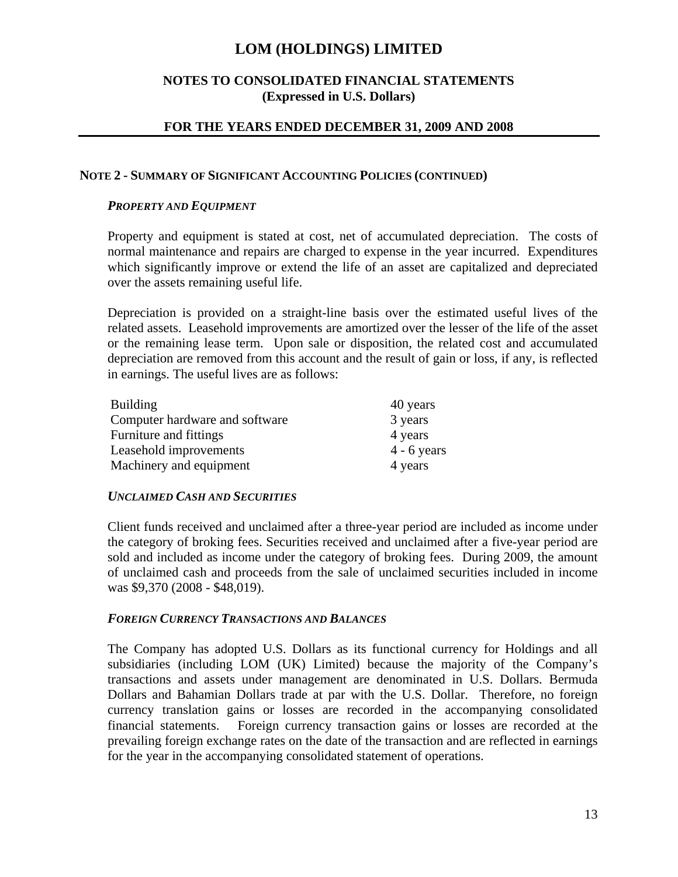## **NOTES TO CONSOLIDATED FINANCIAL STATEMENTS (Expressed in U.S. Dollars)**

## **FOR THE YEARS ENDED DECEMBER 31, 2009 AND 2008**

### **NOTE 2 - SUMMARY OF SIGNIFICANT ACCOUNTING POLICIES (CONTINUED)**

### *PROPERTY AND EQUIPMENT*

Property and equipment is stated at cost, net of accumulated depreciation. The costs of normal maintenance and repairs are charged to expense in the year incurred. Expenditures which significantly improve or extend the life of an asset are capitalized and depreciated over the assets remaining useful life.

Depreciation is provided on a straight-line basis over the estimated useful lives of the related assets. Leasehold improvements are amortized over the lesser of the life of the asset or the remaining lease term. Upon sale or disposition, the related cost and accumulated depreciation are removed from this account and the result of gain or loss, if any, is reflected in earnings. The useful lives are as follows:

| Building                       | 40 years      |
|--------------------------------|---------------|
| Computer hardware and software | 3 years       |
| Furniture and fittings         | 4 years       |
| Leasehold improvements         | $4 - 6$ years |
| Machinery and equipment        | 4 years       |

## *UNCLAIMED CASH AND SECURITIES*

Client funds received and unclaimed after a three-year period are included as income under the category of broking fees. Securities received and unclaimed after a five-year period are sold and included as income under the category of broking fees. During 2009, the amount of unclaimed cash and proceeds from the sale of unclaimed securities included in income was \$9,370 (2008 - \$48,019).

## *FOREIGN CURRENCY TRANSACTIONS AND BALANCES*

The Company has adopted U.S. Dollars as its functional currency for Holdings and all subsidiaries (including LOM (UK) Limited) because the majority of the Company's transactions and assets under management are denominated in U.S. Dollars. Bermuda Dollars and Bahamian Dollars trade at par with the U.S. Dollar. Therefore, no foreign currency translation gains or losses are recorded in the accompanying consolidated financial statements. Foreign currency transaction gains or losses are recorded at the prevailing foreign exchange rates on the date of the transaction and are reflected in earnings for the year in the accompanying consolidated statement of operations.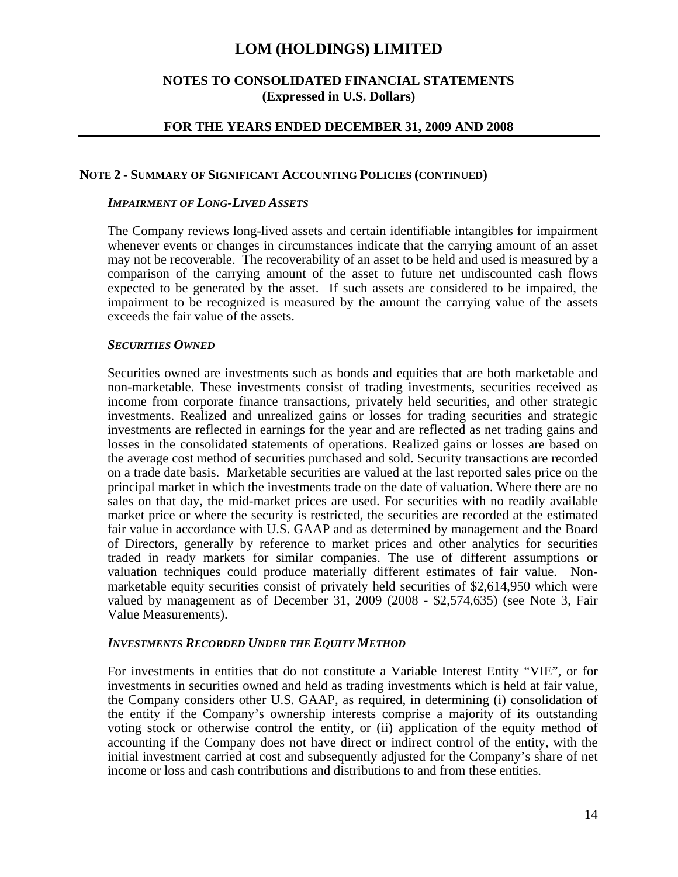## **NOTES TO CONSOLIDATED FINANCIAL STATEMENTS (Expressed in U.S. Dollars)**

## **FOR THE YEARS ENDED DECEMBER 31, 2009 AND 2008**

#### **NOTE 2 - SUMMARY OF SIGNIFICANT ACCOUNTING POLICIES (CONTINUED)**

#### *IMPAIRMENT OF LONG-LIVED ASSETS*

The Company reviews long-lived assets and certain identifiable intangibles for impairment whenever events or changes in circumstances indicate that the carrying amount of an asset may not be recoverable. The recoverability of an asset to be held and used is measured by a comparison of the carrying amount of the asset to future net undiscounted cash flows expected to be generated by the asset. If such assets are considered to be impaired, the impairment to be recognized is measured by the amount the carrying value of the assets exceeds the fair value of the assets.

#### *SECURITIES OWNED*

Securities owned are investments such as bonds and equities that are both marketable and non-marketable. These investments consist of trading investments, securities received as income from corporate finance transactions, privately held securities, and other strategic investments. Realized and unrealized gains or losses for trading securities and strategic investments are reflected in earnings for the year and are reflected as net trading gains and losses in the consolidated statements of operations. Realized gains or losses are based on the average cost method of securities purchased and sold. Security transactions are recorded on a trade date basis. Marketable securities are valued at the last reported sales price on the principal market in which the investments trade on the date of valuation. Where there are no sales on that day, the mid-market prices are used. For securities with no readily available market price or where the security is restricted, the securities are recorded at the estimated fair value in accordance with U.S. GAAP and as determined by management and the Board of Directors, generally by reference to market prices and other analytics for securities traded in ready markets for similar companies. The use of different assumptions or valuation techniques could produce materially different estimates of fair value. Nonmarketable equity securities consist of privately held securities of \$2,614,950 which were valued by management as of December 31, 2009 (2008 - \$2,574,635) (see Note 3, Fair Value Measurements).

#### *INVESTMENTS RECORDED UNDER THE EQUITY METHOD*

For investments in entities that do not constitute a Variable Interest Entity "VIE", or for investments in securities owned and held as trading investments which is held at fair value, the Company considers other U.S. GAAP, as required, in determining (i) consolidation of the entity if the Company's ownership interests comprise a majority of its outstanding voting stock or otherwise control the entity, or (ii) application of the equity method of accounting if the Company does not have direct or indirect control of the entity, with the initial investment carried at cost and subsequently adjusted for the Company's share of net income or loss and cash contributions and distributions to and from these entities.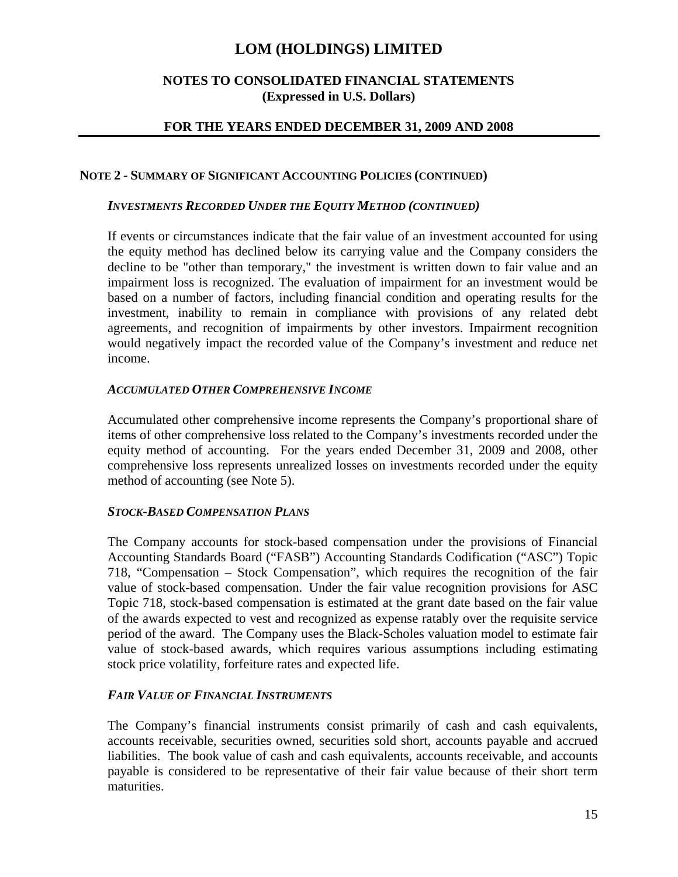## **NOTES TO CONSOLIDATED FINANCIAL STATEMENTS (Expressed in U.S. Dollars)**

## **FOR THE YEARS ENDED DECEMBER 31, 2009 AND 2008**

### **NOTE 2 - SUMMARY OF SIGNIFICANT ACCOUNTING POLICIES (CONTINUED)**

### *INVESTMENTS RECORDED UNDER THE EQUITY METHOD (CONTINUED)*

If events or circumstances indicate that the fair value of an investment accounted for using the equity method has declined below its carrying value and the Company considers the decline to be "other than temporary," the investment is written down to fair value and an impairment loss is recognized. The evaluation of impairment for an investment would be based on a number of factors, including financial condition and operating results for the investment, inability to remain in compliance with provisions of any related debt agreements, and recognition of impairments by other investors. Impairment recognition would negatively impact the recorded value of the Company's investment and reduce net income.

### *ACCUMULATED OTHER COMPREHENSIVE INCOME*

Accumulated other comprehensive income represents the Company's proportional share of items of other comprehensive loss related to the Company's investments recorded under the equity method of accounting. For the years ended December 31, 2009 and 2008, other comprehensive loss represents unrealized losses on investments recorded under the equity method of accounting (see Note 5).

## *STOCK-BASED COMPENSATION PLANS*

The Company accounts for stock-based compensation under the provisions of Financial Accounting Standards Board ("FASB") Accounting Standards Codification ("ASC") Topic 718, "Compensation – Stock Compensation", which requires the recognition of the fair value of stock-based compensation. Under the fair value recognition provisions for ASC Topic 718, stock-based compensation is estimated at the grant date based on the fair value of the awards expected to vest and recognized as expense ratably over the requisite service period of the award. The Company uses the Black-Scholes valuation model to estimate fair value of stock-based awards, which requires various assumptions including estimating stock price volatility, forfeiture rates and expected life.

## *FAIR VALUE OF FINANCIAL INSTRUMENTS*

The Company's financial instruments consist primarily of cash and cash equivalents, accounts receivable, securities owned, securities sold short, accounts payable and accrued liabilities. The book value of cash and cash equivalents, accounts receivable, and accounts payable is considered to be representative of their fair value because of their short term maturities.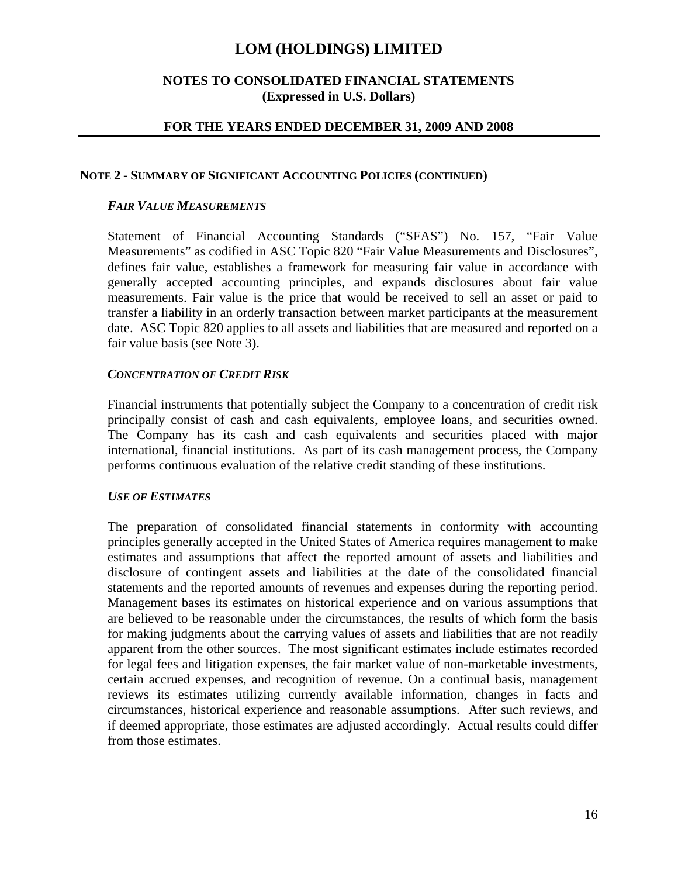## **NOTES TO CONSOLIDATED FINANCIAL STATEMENTS (Expressed in U.S. Dollars)**

### **FOR THE YEARS ENDED DECEMBER 31, 2009 AND 2008**

#### **NOTE 2 - SUMMARY OF SIGNIFICANT ACCOUNTING POLICIES (CONTINUED)**

#### *FAIR VALUE MEASUREMENTS*

Statement of Financial Accounting Standards ("SFAS") No. 157, "Fair Value Measurements" as codified in ASC Topic 820 "Fair Value Measurements and Disclosures", defines fair value, establishes a framework for measuring fair value in accordance with generally accepted accounting principles, and expands disclosures about fair value measurements. Fair value is the price that would be received to sell an asset or paid to transfer a liability in an orderly transaction between market participants at the measurement date. ASC Topic 820 applies to all assets and liabilities that are measured and reported on a fair value basis (see Note 3).

#### *CONCENTRATION OF CREDIT RISK*

Financial instruments that potentially subject the Company to a concentration of credit risk principally consist of cash and cash equivalents, employee loans, and securities owned. The Company has its cash and cash equivalents and securities placed with major international, financial institutions. As part of its cash management process, the Company performs continuous evaluation of the relative credit standing of these institutions.

#### *USE OF ESTIMATES*

The preparation of consolidated financial statements in conformity with accounting principles generally accepted in the United States of America requires management to make estimates and assumptions that affect the reported amount of assets and liabilities and disclosure of contingent assets and liabilities at the date of the consolidated financial statements and the reported amounts of revenues and expenses during the reporting period. Management bases its estimates on historical experience and on various assumptions that are believed to be reasonable under the circumstances, the results of which form the basis for making judgments about the carrying values of assets and liabilities that are not readily apparent from the other sources. The most significant estimates include estimates recorded for legal fees and litigation expenses, the fair market value of non-marketable investments, certain accrued expenses, and recognition of revenue. On a continual basis, management reviews its estimates utilizing currently available information, changes in facts and circumstances, historical experience and reasonable assumptions. After such reviews, and if deemed appropriate, those estimates are adjusted accordingly. Actual results could differ from those estimates.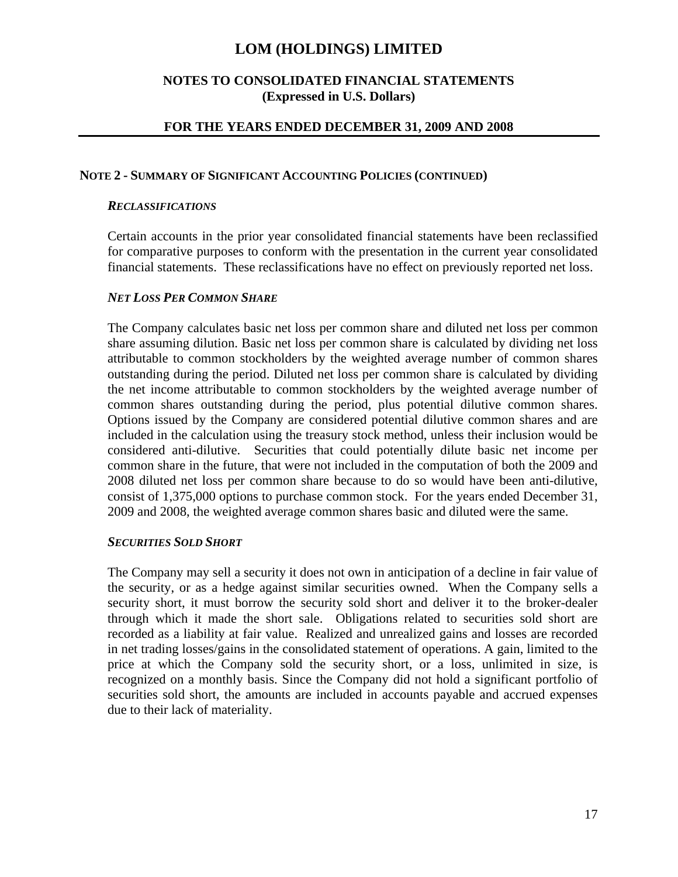## **NOTES TO CONSOLIDATED FINANCIAL STATEMENTS (Expressed in U.S. Dollars)**

### **FOR THE YEARS ENDED DECEMBER 31, 2009 AND 2008**

#### **NOTE 2 - SUMMARY OF SIGNIFICANT ACCOUNTING POLICIES (CONTINUED)**

#### *RECLASSIFICATIONS*

Certain accounts in the prior year consolidated financial statements have been reclassified for comparative purposes to conform with the presentation in the current year consolidated financial statements. These reclassifications have no effect on previously reported net loss.

### *NET LOSS PER COMMON SHARE*

The Company calculates basic net loss per common share and diluted net loss per common share assuming dilution. Basic net loss per common share is calculated by dividing net loss attributable to common stockholders by the weighted average number of common shares outstanding during the period. Diluted net loss per common share is calculated by dividing the net income attributable to common stockholders by the weighted average number of common shares outstanding during the period, plus potential dilutive common shares. Options issued by the Company are considered potential dilutive common shares and are included in the calculation using the treasury stock method, unless their inclusion would be considered anti-dilutive. Securities that could potentially dilute basic net income per common share in the future, that were not included in the computation of both the 2009 and 2008 diluted net loss per common share because to do so would have been anti-dilutive, consist of 1,375,000 options to purchase common stock. For the years ended December 31, 2009 and 2008, the weighted average common shares basic and diluted were the same.

### *SECURITIES SOLD SHORT*

The Company may sell a security it does not own in anticipation of a decline in fair value of the security, or as a hedge against similar securities owned. When the Company sells a security short, it must borrow the security sold short and deliver it to the broker-dealer through which it made the short sale. Obligations related to securities sold short are recorded as a liability at fair value. Realized and unrealized gains and losses are recorded in net trading losses/gains in the consolidated statement of operations. A gain, limited to the price at which the Company sold the security short, or a loss, unlimited in size, is recognized on a monthly basis. Since the Company did not hold a significant portfolio of securities sold short, the amounts are included in accounts payable and accrued expenses due to their lack of materiality.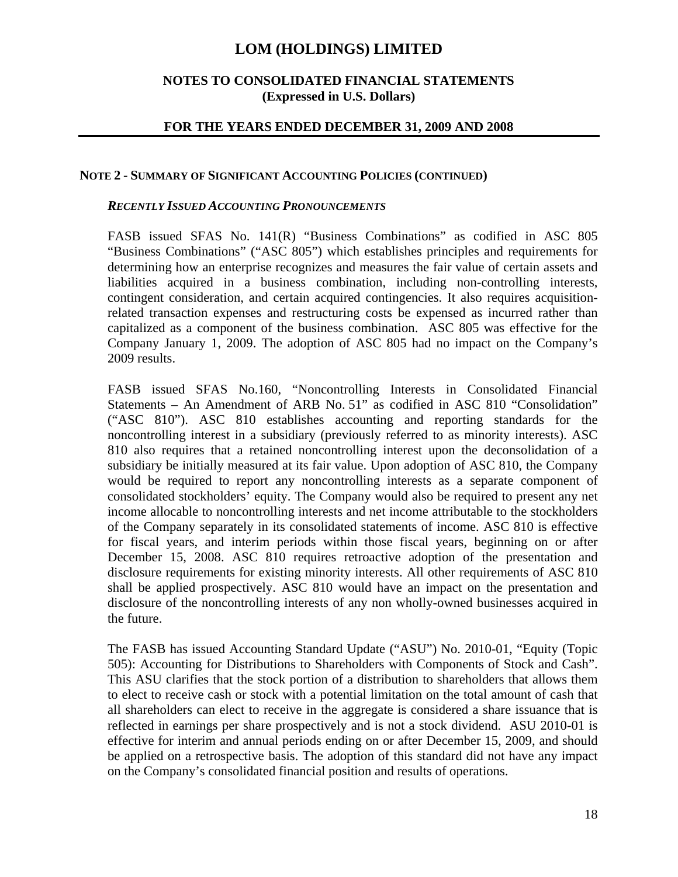### **NOTES TO CONSOLIDATED FINANCIAL STATEMENTS (Expressed in U.S. Dollars)**

### **FOR THE YEARS ENDED DECEMBER 31, 2009 AND 2008**

#### **NOTE 2 - SUMMARY OF SIGNIFICANT ACCOUNTING POLICIES (CONTINUED)**

#### *RECENTLY ISSUED ACCOUNTING PRONOUNCEMENTS*

FASB issued SFAS No. 141(R) "Business Combinations" as codified in ASC 805 "Business Combinations" ("ASC 805") which establishes principles and requirements for determining how an enterprise recognizes and measures the fair value of certain assets and liabilities acquired in a business combination, including non-controlling interests, contingent consideration, and certain acquired contingencies. It also requires acquisitionrelated transaction expenses and restructuring costs be expensed as incurred rather than capitalized as a component of the business combination. ASC 805 was effective for the Company January 1, 2009. The adoption of ASC 805 had no impact on the Company's 2009 results.

FASB issued SFAS No.160, "Noncontrolling Interests in Consolidated Financial Statements – An Amendment of ARB No. 51" as codified in ASC 810 "Consolidation" ("ASC 810"). ASC 810 establishes accounting and reporting standards for the noncontrolling interest in a subsidiary (previously referred to as minority interests). ASC 810 also requires that a retained noncontrolling interest upon the deconsolidation of a subsidiary be initially measured at its fair value. Upon adoption of ASC 810, the Company would be required to report any noncontrolling interests as a separate component of consolidated stockholders' equity. The Company would also be required to present any net income allocable to noncontrolling interests and net income attributable to the stockholders of the Company separately in its consolidated statements of income. ASC 810 is effective for fiscal years, and interim periods within those fiscal years, beginning on or after December 15, 2008. ASC 810 requires retroactive adoption of the presentation and disclosure requirements for existing minority interests. All other requirements of ASC 810 shall be applied prospectively. ASC 810 would have an impact on the presentation and disclosure of the noncontrolling interests of any non wholly-owned businesses acquired in the future.

The FASB has issued Accounting Standard Update ("ASU") No. 2010-01, "Equity (Topic 505): Accounting for Distributions to Shareholders with Components of Stock and Cash". This ASU clarifies that the stock portion of a distribution to shareholders that allows them to elect to receive cash or stock with a potential limitation on the total amount of cash that all shareholders can elect to receive in the aggregate is considered a share issuance that is reflected in earnings per share prospectively and is not a stock dividend. ASU 2010-01 is effective for interim and annual periods ending on or after December 15, 2009, and should be applied on a retrospective basis. The adoption of this standard did not have any impact on the Company's consolidated financial position and results of operations.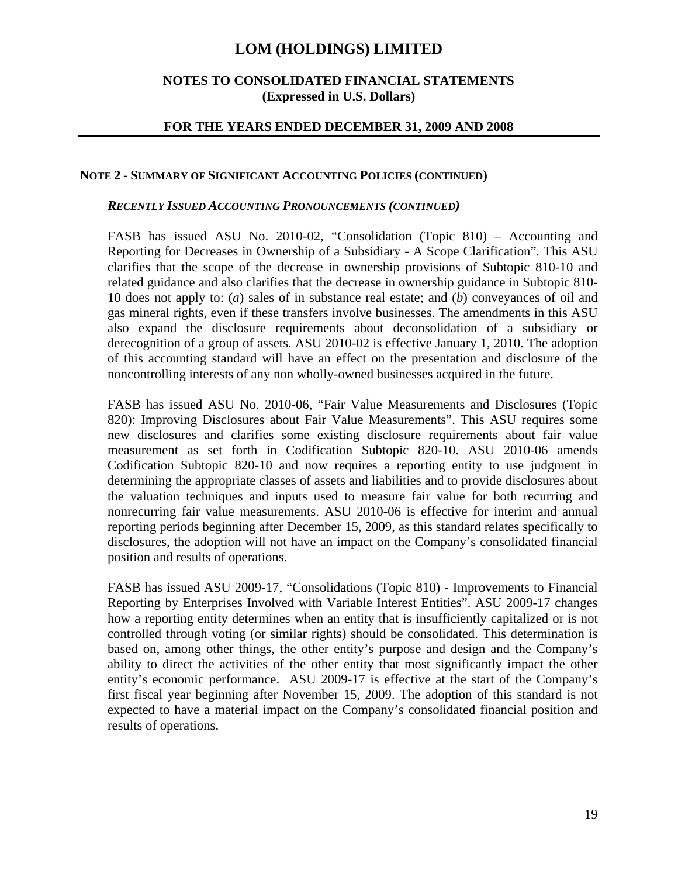## **NOTES TO CONSOLIDATED FINANCIAL STATEMENTS (Expressed in U.S. Dollars)**

### **FOR THE YEARS ENDED DECEMBER 31, 2009 AND 2008**

#### **NOTE 2 - SUMMARY OF SIGNIFICANT ACCOUNTING POLICIES (CONTINUED)**

#### *RECENTLY ISSUED ACCOUNTING PRONOUNCEMENTS (CONTINUED)*

FASB has issued ASU No. 2010-02, "Consolidation (Topic 810) – Accounting and Reporting for Decreases in Ownership of a Subsidiary - A Scope Clarification"*.* This ASU clarifies that the scope of the decrease in ownership provisions of Subtopic 810-10 and related guidance and also clarifies that the decrease in ownership guidance in Subtopic 810- 10 does not apply to: (*a*) sales of in substance real estate; and (*b*) conveyances of oil and gas mineral rights, even if these transfers involve businesses. The amendments in this ASU also expand the disclosure requirements about deconsolidation of a subsidiary or derecognition of a group of assets. ASU 2010-02 is effective January 1, 2010. The adoption of this accounting standard will have an effect on the presentation and disclosure of the noncontrolling interests of any non wholly-owned businesses acquired in the future.

FASB has issued ASU No. 2010-06, "Fair Value Measurements and Disclosures (Topic 820): Improving Disclosures about Fair Value Measurements". This ASU requires some new disclosures and clarifies some existing disclosure requirements about fair value measurement as set forth in Codification Subtopic 820-10. ASU 2010-06 amends Codification Subtopic 820-10 and now requires a reporting entity to use judgment in determining the appropriate classes of assets and liabilities and to provide disclosures about the valuation techniques and inputs used to measure fair value for both recurring and nonrecurring fair value measurements. ASU 2010-06 is effective for interim and annual reporting periods beginning after December 15, 2009, as this standard relates specifically to disclosures, the adoption will not have an impact on the Company's consolidated financial position and results of operations.

FASB has issued ASU 2009-17, "Consolidations (Topic 810) - Improvements to Financial Reporting by Enterprises Involved with Variable Interest Entities". ASU 2009-17 changes how a reporting entity determines when an entity that is insufficiently capitalized or is not controlled through voting (or similar rights) should be consolidated. This determination is based on, among other things, the other entity's purpose and design and the Company's ability to direct the activities of the other entity that most significantly impact the other entity's economic performance. ASU 2009-17 is effective at the start of the Company's first fiscal year beginning after November 15, 2009. The adoption of this standard is not expected to have a material impact on the Company's consolidated financial position and results of operations.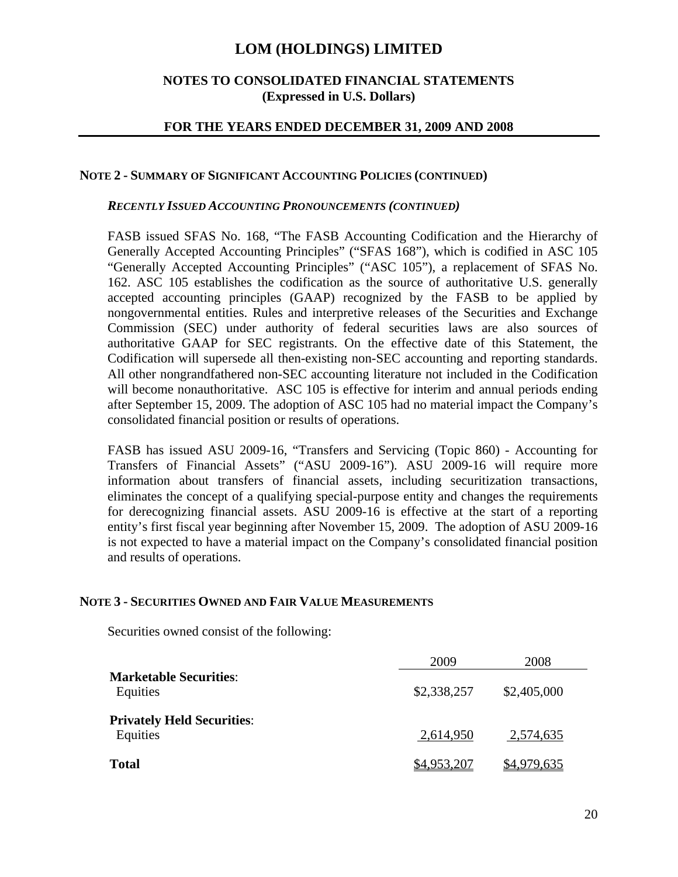### **NOTES TO CONSOLIDATED FINANCIAL STATEMENTS (Expressed in U.S. Dollars)**

## **FOR THE YEARS ENDED DECEMBER 31, 2009 AND 2008**

#### **NOTE 2 - SUMMARY OF SIGNIFICANT ACCOUNTING POLICIES (CONTINUED)**

#### *RECENTLY ISSUED ACCOUNTING PRONOUNCEMENTS (CONTINUED)*

FASB issued SFAS No. 168, "The FASB Accounting Codification and the Hierarchy of Generally Accepted Accounting Principles" ("SFAS 168"), which is codified in ASC 105 "Generally Accepted Accounting Principles" ("ASC 105"), a replacement of SFAS No. 162. ASC 105 establishes the codification as the source of authoritative U.S. generally accepted accounting principles (GAAP) recognized by the FASB to be applied by nongovernmental entities. Rules and interpretive releases of the Securities and Exchange Commission (SEC) under authority of federal securities laws are also sources of authoritative GAAP for SEC registrants. On the effective date of this Statement, the Codification will supersede all then-existing non-SEC accounting and reporting standards. All other nongrandfathered non-SEC accounting literature not included in the Codification will become nonauthoritative. ASC 105 is effective for interim and annual periods ending after September 15, 2009. The adoption of ASC 105 had no material impact the Company's consolidated financial position or results of operations.

FASB has issued ASU 2009-16, "Transfers and Servicing (Topic 860) - Accounting for Transfers of Financial Assets" ("ASU 2009-16")*.* ASU 2009-16 will require more information about transfers of financial assets, including securitization transactions, eliminates the concept of a qualifying special-purpose entity and changes the requirements for derecognizing financial assets. ASU 2009-16 is effective at the start of a reporting entity's first fiscal year beginning after November 15, 2009. The adoption of ASU 2009-16 is not expected to have a material impact on the Company's consolidated financial position and results of operations.

#### **NOTE 3 - SECURITIES OWNED AND FAIR VALUE MEASUREMENTS**

Securities owned consist of the following:

|                                               | 2009        | 2008        |  |
|-----------------------------------------------|-------------|-------------|--|
| <b>Marketable Securities:</b><br>Equities     | \$2,338,257 | \$2,405,000 |  |
| <b>Privately Held Securities:</b><br>Equities | 2,614,950   | 2,574,635   |  |
| <b>Total</b>                                  | \$4,953,207 | \$4,979,635 |  |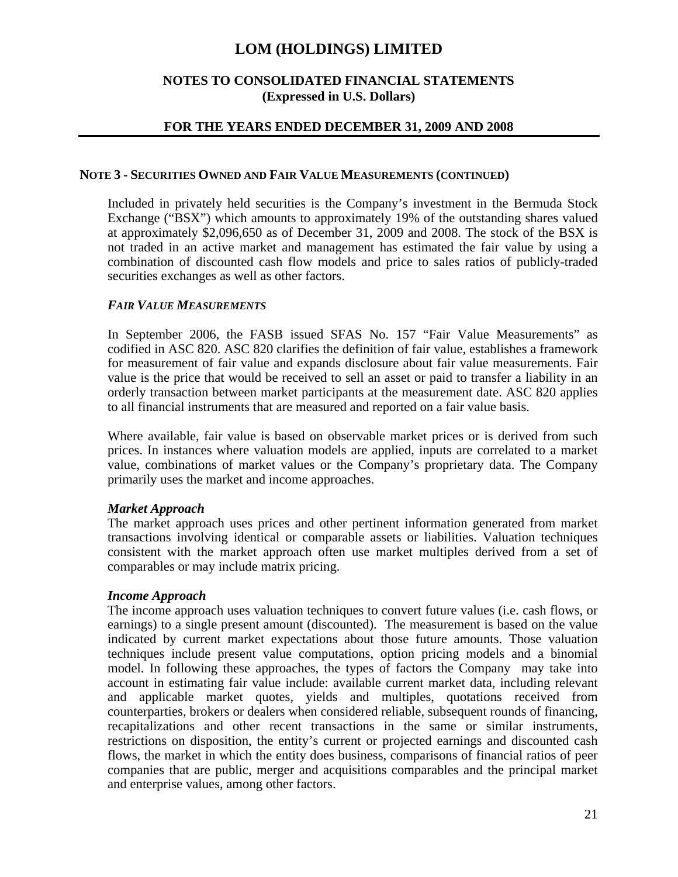## **NOTES TO CONSOLIDATED FINANCIAL STATEMENTS (Expressed in U.S. Dollars)**

## **FOR THE YEARS ENDED DECEMBER 31, 2009 AND 2008**

### **NOTE 3 - SECURITIES OWNED AND FAIR VALUE MEASUREMENTS (CONTINUED)**

Included in privately held securities is the Company's investment in the Bermuda Stock Exchange ("BSX") which amounts to approximately 19% of the outstanding shares valued at approximately \$2,096,650 as of December 31, 2009 and 2008. The stock of the BSX is not traded in an active market and management has estimated the fair value by using a combination of discounted cash flow models and price to sales ratios of publicly-traded securities exchanges as well as other factors.

## *FAIR VALUE MEASUREMENTS*

In September 2006, the FASB issued SFAS No. 157 "Fair Value Measurements" as codified in ASC 820. ASC 820 clarifies the definition of fair value, establishes a framework for measurement of fair value and expands disclosure about fair value measurements. Fair value is the price that would be received to sell an asset or paid to transfer a liability in an orderly transaction between market participants at the measurement date. ASC 820 applies to all financial instruments that are measured and reported on a fair value basis.

Where available, fair value is based on observable market prices or is derived from such prices. In instances where valuation models are applied, inputs are correlated to a market value, combinations of market values or the Company's proprietary data. The Company primarily uses the market and income approaches.

## *Market Approach*

The market approach uses prices and other pertinent information generated from market transactions involving identical or comparable assets or liabilities. Valuation techniques consistent with the market approach often use market multiples derived from a set of comparables or may include matrix pricing.

## *Income Approach*

The income approach uses valuation techniques to convert future values (i.e. cash flows, or earnings) to a single present amount (discounted). The measurement is based on the value indicated by current market expectations about those future amounts. Those valuation techniques include present value computations, option pricing models and a binomial model. In following these approaches, the types of factors the Company may take into account in estimating fair value include: available current market data, including relevant and applicable market quotes, yields and multiples, quotations received from counterparties, brokers or dealers when considered reliable, subsequent rounds of financing, recapitalizations and other recent transactions in the same or similar instruments, restrictions on disposition, the entity's current or projected earnings and discounted cash flows, the market in which the entity does business, comparisons of financial ratios of peer companies that are public, merger and acquisitions comparables and the principal market and enterprise values, among other factors.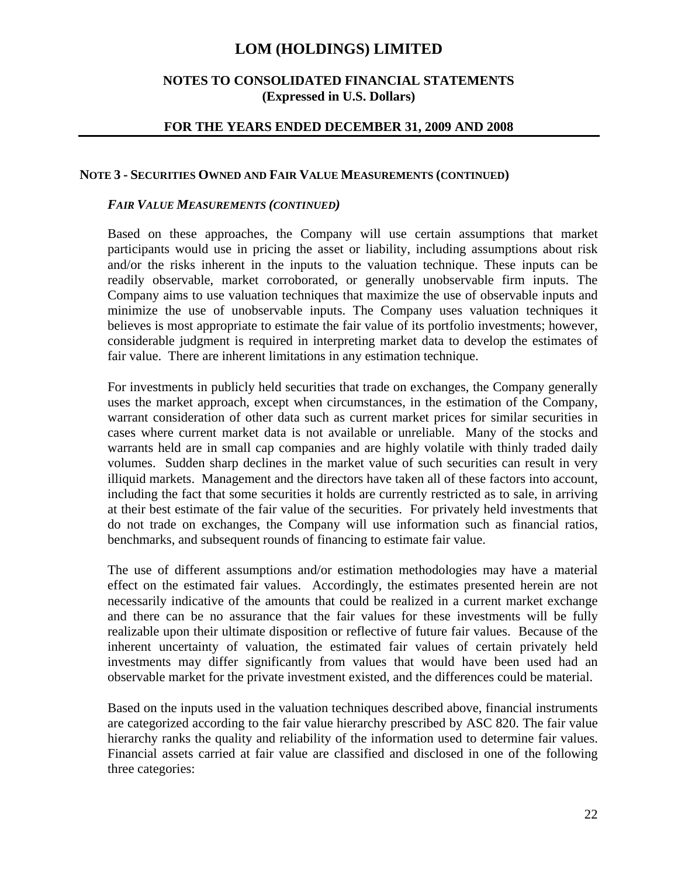## **NOTES TO CONSOLIDATED FINANCIAL STATEMENTS (Expressed in U.S. Dollars)**

### **FOR THE YEARS ENDED DECEMBER 31, 2009 AND 2008**

#### **NOTE 3 - SECURITIES OWNED AND FAIR VALUE MEASUREMENTS (CONTINUED)**

#### *FAIR VALUE MEASUREMENTS (CONTINUED)*

Based on these approaches, the Company will use certain assumptions that market participants would use in pricing the asset or liability, including assumptions about risk and/or the risks inherent in the inputs to the valuation technique. These inputs can be readily observable, market corroborated, or generally unobservable firm inputs. The Company aims to use valuation techniques that maximize the use of observable inputs and minimize the use of unobservable inputs. The Company uses valuation techniques it believes is most appropriate to estimate the fair value of its portfolio investments; however, considerable judgment is required in interpreting market data to develop the estimates of fair value. There are inherent limitations in any estimation technique.

For investments in publicly held securities that trade on exchanges, the Company generally uses the market approach, except when circumstances, in the estimation of the Company, warrant consideration of other data such as current market prices for similar securities in cases where current market data is not available or unreliable. Many of the stocks and warrants held are in small cap companies and are highly volatile with thinly traded daily volumes. Sudden sharp declines in the market value of such securities can result in very illiquid markets. Management and the directors have taken all of these factors into account, including the fact that some securities it holds are currently restricted as to sale, in arriving at their best estimate of the fair value of the securities. For privately held investments that do not trade on exchanges, the Company will use information such as financial ratios, benchmarks, and subsequent rounds of financing to estimate fair value.

The use of different assumptions and/or estimation methodologies may have a material effect on the estimated fair values. Accordingly, the estimates presented herein are not necessarily indicative of the amounts that could be realized in a current market exchange and there can be no assurance that the fair values for these investments will be fully realizable upon their ultimate disposition or reflective of future fair values. Because of the inherent uncertainty of valuation, the estimated fair values of certain privately held investments may differ significantly from values that would have been used had an observable market for the private investment existed, and the differences could be material.

Based on the inputs used in the valuation techniques described above, financial instruments are categorized according to the fair value hierarchy prescribed by ASC 820. The fair value hierarchy ranks the quality and reliability of the information used to determine fair values. Financial assets carried at fair value are classified and disclosed in one of the following three categories: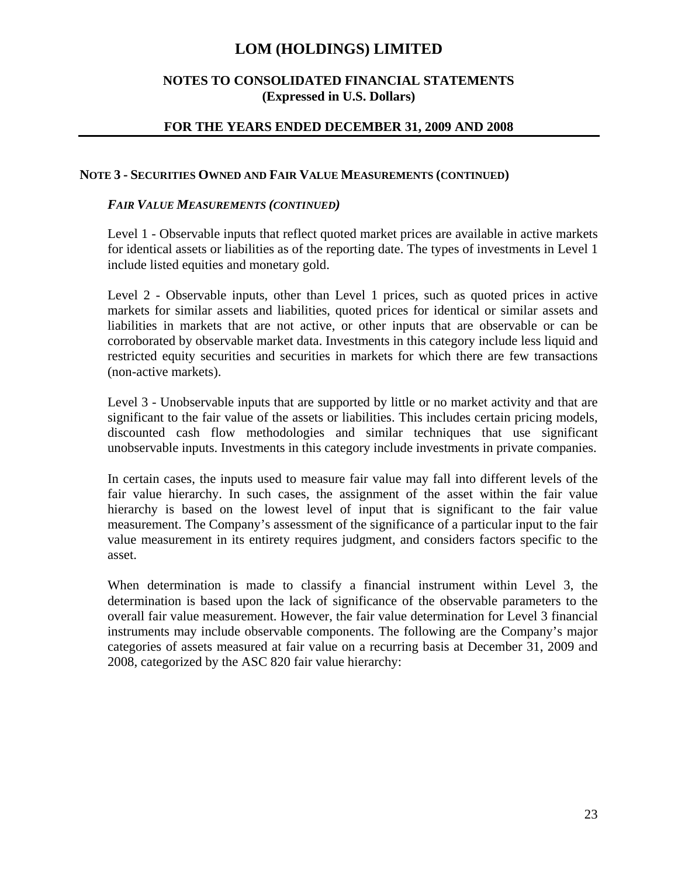## **NOTES TO CONSOLIDATED FINANCIAL STATEMENTS (Expressed in U.S. Dollars)**

## **FOR THE YEARS ENDED DECEMBER 31, 2009 AND 2008**

### **NOTE 3 - SECURITIES OWNED AND FAIR VALUE MEASUREMENTS (CONTINUED)**

### *FAIR VALUE MEASUREMENTS (CONTINUED)*

Level 1 - Observable inputs that reflect quoted market prices are available in active markets for identical assets or liabilities as of the reporting date. The types of investments in Level 1 include listed equities and monetary gold.

Level 2 - Observable inputs, other than Level 1 prices, such as quoted prices in active markets for similar assets and liabilities, quoted prices for identical or similar assets and liabilities in markets that are not active, or other inputs that are observable or can be corroborated by observable market data. Investments in this category include less liquid and restricted equity securities and securities in markets for which there are few transactions (non-active markets).

Level 3 - Unobservable inputs that are supported by little or no market activity and that are significant to the fair value of the assets or liabilities. This includes certain pricing models, discounted cash flow methodologies and similar techniques that use significant unobservable inputs. Investments in this category include investments in private companies.

In certain cases, the inputs used to measure fair value may fall into different levels of the fair value hierarchy. In such cases, the assignment of the asset within the fair value hierarchy is based on the lowest level of input that is significant to the fair value measurement. The Company's assessment of the significance of a particular input to the fair value measurement in its entirety requires judgment, and considers factors specific to the asset.

When determination is made to classify a financial instrument within Level 3, the determination is based upon the lack of significance of the observable parameters to the overall fair value measurement. However, the fair value determination for Level 3 financial instruments may include observable components. The following are the Company's major categories of assets measured at fair value on a recurring basis at December 31, 2009 and 2008, categorized by the ASC 820 fair value hierarchy: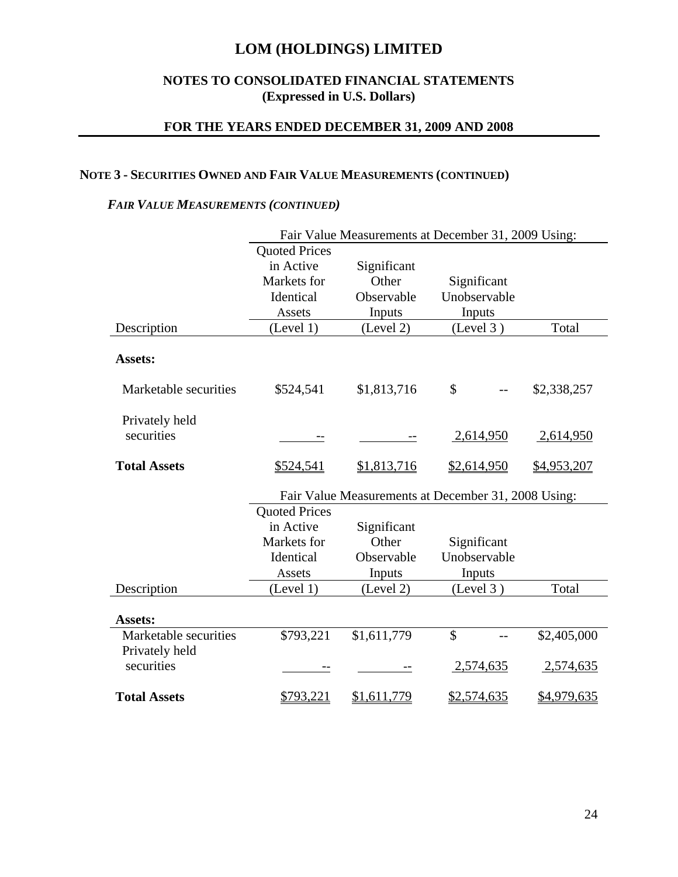## **NOTES TO CONSOLIDATED FINANCIAL STATEMENTS (Expressed in U.S. Dollars)**

## **FOR THE YEARS ENDED DECEMBER 31, 2009 AND 2008**

## **NOTE 3 - SECURITIES OWNED AND FAIR VALUE MEASUREMENTS (CONTINUED)**

## *FAIR VALUE MEASUREMENTS (CONTINUED)*

|                                         | Fair Value Measurements at December 31, 2009 Using: |             |                                                     |             |  |  |
|-----------------------------------------|-----------------------------------------------------|-------------|-----------------------------------------------------|-------------|--|--|
|                                         | <b>Quoted Prices</b>                                |             |                                                     |             |  |  |
|                                         | in Active                                           | Significant |                                                     |             |  |  |
|                                         | Markets for                                         | Other       | Significant                                         |             |  |  |
|                                         | Identical                                           | Observable  | Unobservable                                        |             |  |  |
|                                         | Assets                                              | Inputs      | Inputs                                              |             |  |  |
| Description                             | (Level 1)                                           | (Level 2)   | (Level 3)                                           | Total       |  |  |
| Assets:                                 |                                                     |             |                                                     |             |  |  |
| Marketable securities                   | \$524,541                                           | \$1,813,716 | \$                                                  | \$2,338,257 |  |  |
| Privately held<br>securities            |                                                     |             | 2,614,950                                           | 2,614,950   |  |  |
|                                         |                                                     |             |                                                     |             |  |  |
| <b>Total Assets</b>                     | \$524,541                                           | \$1,813,716 | \$2,614,950                                         | \$4,953,207 |  |  |
|                                         |                                                     |             | Fair Value Measurements at December 31, 2008 Using: |             |  |  |
|                                         | <b>Quoted Prices</b>                                |             |                                                     |             |  |  |
|                                         | in Active                                           | Significant |                                                     |             |  |  |
|                                         | Markets for                                         | Other       | Significant                                         |             |  |  |
|                                         | Identical                                           | Observable  | Unobservable                                        |             |  |  |
|                                         | Assets                                              | Inputs      | Inputs                                              |             |  |  |
| Description                             | (Level 1)                                           | (Level 2)   | (Level 3)                                           | Total       |  |  |
| <b>Assets:</b>                          |                                                     |             |                                                     |             |  |  |
| Marketable securities<br>Privately held | \$793,221                                           | \$1,611,779 | \$<br>$-$                                           | \$2,405,000 |  |  |
| securities                              |                                                     |             | 2,574,635                                           | 2,574,635   |  |  |
| <b>Total Assets</b>                     | \$793,221                                           | \$1,611,779 | \$2,574,635                                         | \$4,979,635 |  |  |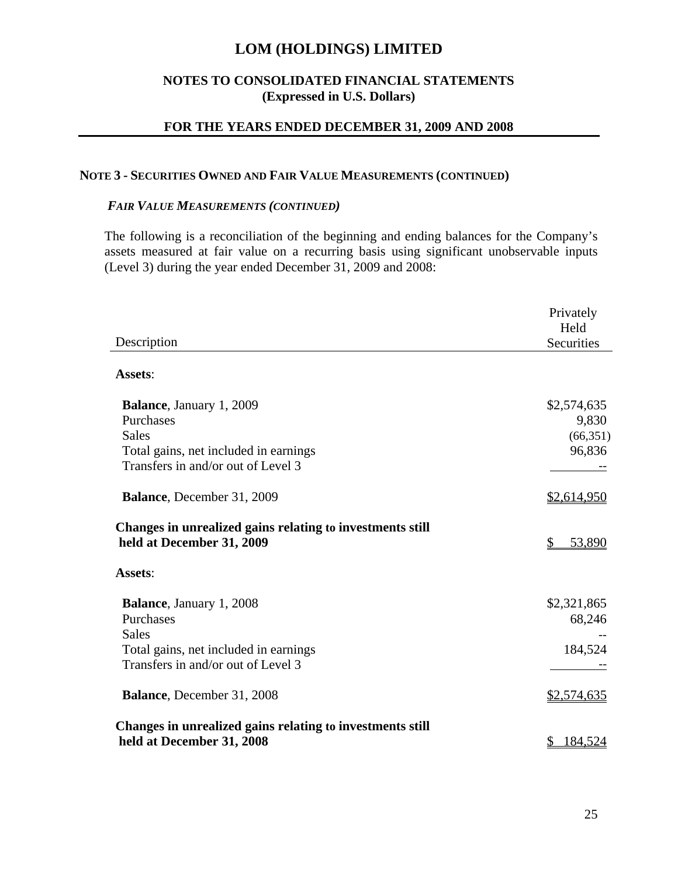## **NOTES TO CONSOLIDATED FINANCIAL STATEMENTS (Expressed in U.S. Dollars)**

## **FOR THE YEARS ENDED DECEMBER 31, 2009 AND 2008**

#### **NOTE 3 - SECURITIES OWNED AND FAIR VALUE MEASUREMENTS (CONTINUED)**

#### *FAIR VALUE MEASUREMENTS (CONTINUED)*

The following is a reconciliation of the beginning and ending balances for the Company's assets measured at fair value on a recurring basis using significant unobservable inputs (Level 3) during the year ended December 31, 2009 and 2008:

|                                                           | Privately          |
|-----------------------------------------------------------|--------------------|
|                                                           | Held               |
| Description                                               | Securities         |
|                                                           |                    |
| Assets:                                                   |                    |
| <b>Balance</b> , January 1, 2009                          | \$2,574,635        |
| Purchases                                                 | 9,830              |
| <b>Sales</b>                                              | (66, 351)          |
| Total gains, net included in earnings                     | 96,836             |
| Transfers in and/or out of Level 3                        |                    |
|                                                           |                    |
| Balance, December 31, 2009                                | \$2,614,950        |
| Changes in unrealized gains relating to investments still |                    |
| held at December 31, 2009                                 | \$<br>53,890       |
| Assets:                                                   |                    |
| <b>Balance</b> , January 1, 2008                          | \$2,321,865        |
| Purchases                                                 | 68,246             |
| <b>Sales</b>                                              |                    |
| Total gains, net included in earnings                     | 184,524            |
| Transfers in and/or out of Level 3                        |                    |
|                                                           |                    |
| <b>Balance</b> , December 31, 2008                        | <u>\$2,574,635</u> |
|                                                           |                    |
| Changes in unrealized gains relating to investments still |                    |
| held at December 31, 2008                                 | <u>184,524</u>     |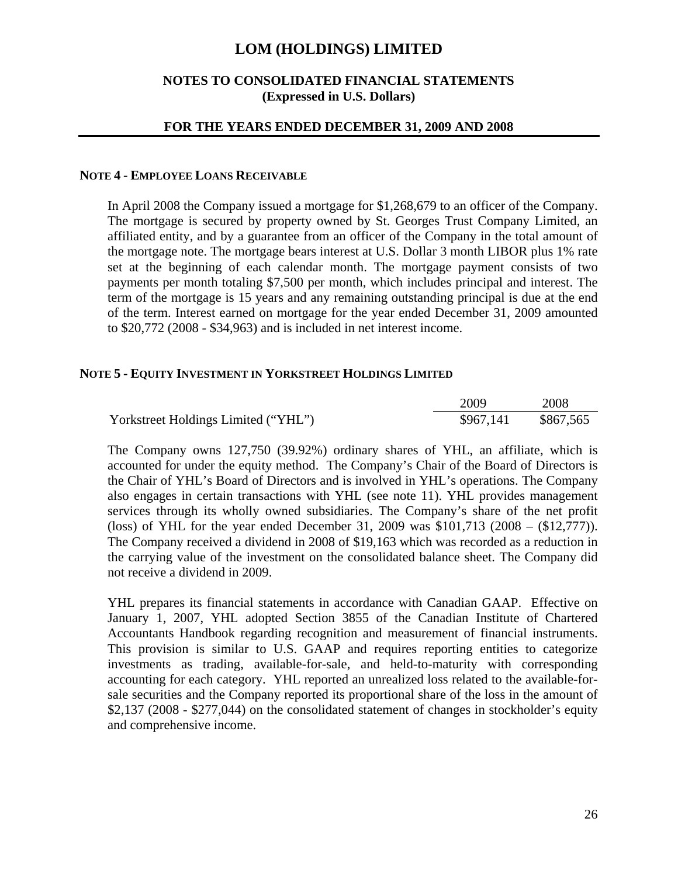## **NOTES TO CONSOLIDATED FINANCIAL STATEMENTS (Expressed in U.S. Dollars)**

#### **FOR THE YEARS ENDED DECEMBER 31, 2009 AND 2008**

#### **NOTE 4 - EMPLOYEE LOANS RECEIVABLE**

In April 2008 the Company issued a mortgage for \$1,268,679 to an officer of the Company. The mortgage is secured by property owned by St. Georges Trust Company Limited, an affiliated entity, and by a guarantee from an officer of the Company in the total amount of the mortgage note. The mortgage bears interest at U.S. Dollar 3 month LIBOR plus 1% rate set at the beginning of each calendar month. The mortgage payment consists of two payments per month totaling \$7,500 per month, which includes principal and interest. The term of the mortgage is 15 years and any remaining outstanding principal is due at the end of the term. Interest earned on mortgage for the year ended December 31, 2009 amounted to \$20,772 (2008 - \$34,963) and is included in net interest income.

#### **NOTE 5 - EQUITY INVESTMENT IN YORKSTREET HOLDINGS LIMITED**

|                                     | 2009      | 2008      |
|-------------------------------------|-----------|-----------|
| Yorkstreet Holdings Limited ("YHL") | \$967,141 | \$867,565 |

The Company owns 127,750 (39.92%) ordinary shares of YHL, an affiliate, which is accounted for under the equity method. The Company's Chair of the Board of Directors is the Chair of YHL's Board of Directors and is involved in YHL's operations. The Company also engages in certain transactions with YHL (see note 11). YHL provides management services through its wholly owned subsidiaries. The Company's share of the net profit (loss) of YHL for the year ended December 31, 2009 was \$101,713 (2008 – (\$12,777)). The Company received a dividend in 2008 of \$19,163 which was recorded as a reduction in the carrying value of the investment on the consolidated balance sheet. The Company did not receive a dividend in 2009.

YHL prepares its financial statements in accordance with Canadian GAAP. Effective on January 1, 2007, YHL adopted Section 3855 of the Canadian Institute of Chartered Accountants Handbook regarding recognition and measurement of financial instruments. This provision is similar to U.S. GAAP and requires reporting entities to categorize investments as trading, available-for-sale, and held-to-maturity with corresponding accounting for each category. YHL reported an unrealized loss related to the available-forsale securities and the Company reported its proportional share of the loss in the amount of \$2,137 (2008 - \$277,044) on the consolidated statement of changes in stockholder's equity and comprehensive income.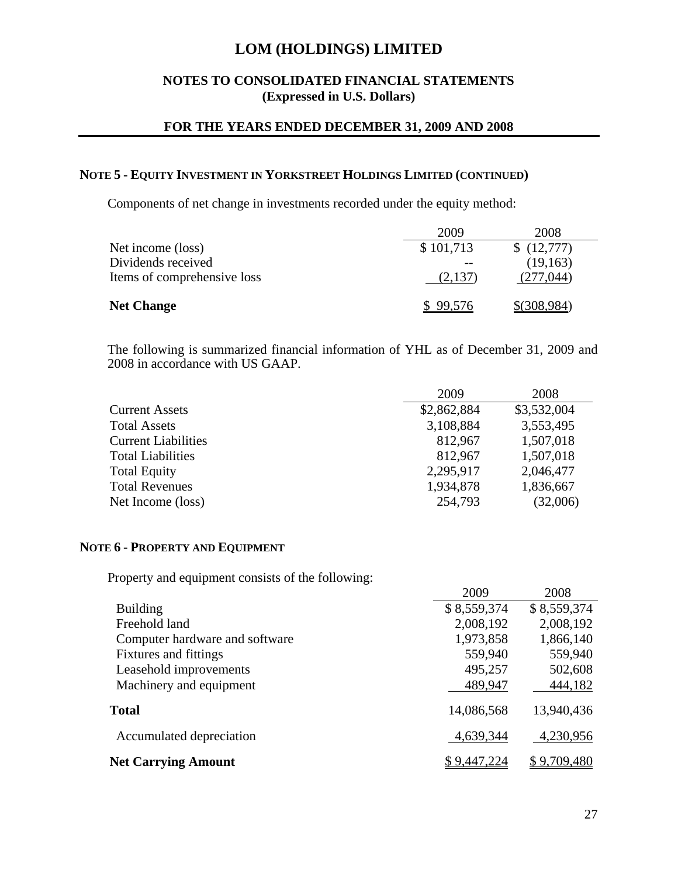## **NOTES TO CONSOLIDATED FINANCIAL STATEMENTS (Expressed in U.S. Dollars)**

## **FOR THE YEARS ENDED DECEMBER 31, 2009 AND 2008**

### **NOTE 5 - EQUITY INVESTMENT IN YORKSTREET HOLDINGS LIMITED (CONTINUED)**

Components of net change in investments recorded under the equity method:

|                             | 2009        | 2008        |
|-----------------------------|-------------|-------------|
| Net income (loss)           | \$101,713   | \$(12,777)  |
| Dividends received          |             | (19, 163)   |
| Items of comprehensive loss | $(2,137)$ . | (277.044)   |
|                             |             |             |
| <b>Net Change</b>           | \$99.576    | \$(308.984) |

The following is summarized financial information of YHL as of December 31, 2009 and 2008 in accordance with US GAAP.

|                            | 2009        | 2008        |
|----------------------------|-------------|-------------|
| <b>Current Assets</b>      | \$2,862,884 | \$3,532,004 |
| <b>Total Assets</b>        | 3,108,884   | 3,553,495   |
| <b>Current Liabilities</b> | 812,967     | 1,507,018   |
| <b>Total Liabilities</b>   | 812,967     | 1,507,018   |
| <b>Total Equity</b>        | 2,295,917   | 2,046,477   |
| <b>Total Revenues</b>      | 1,934,878   | 1,836,667   |
| Net Income (loss)          | 254,793     | (32,006)    |

#### **NOTE 6 - PROPERTY AND EQUIPMENT**

Property and equipment consists of the following:

|                                | 2009        | 2008        |
|--------------------------------|-------------|-------------|
| <b>Building</b>                | \$8,559,374 | \$8,559,374 |
| Freehold land                  | 2,008,192   | 2,008,192   |
| Computer hardware and software | 1,973,858   | 1,866,140   |
| <b>Fixtures</b> and fittings   | 559,940     | 559,940     |
| Leasehold improvements         | 495,257     | 502,608     |
| Machinery and equipment        | 489,947     | 444,182     |
| <b>Total</b>                   | 14,086,568  | 13,940,436  |
| Accumulated depreciation       | 4,639,344   | 4,230,956   |
| <b>Net Carrying Amount</b>     | \$9,447,224 | \$9,709,480 |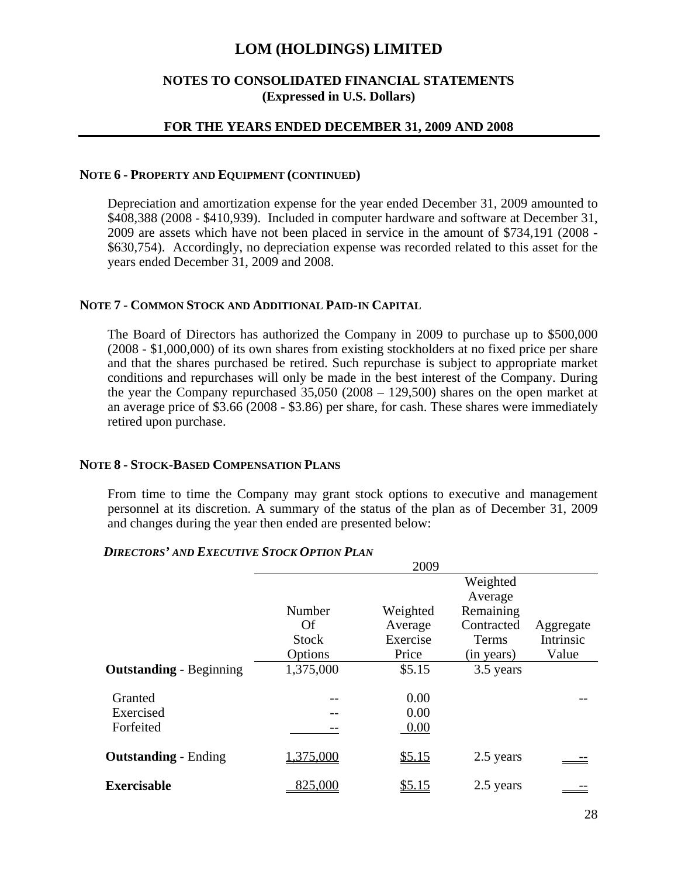## **NOTES TO CONSOLIDATED FINANCIAL STATEMENTS (Expressed in U.S. Dollars)**

## **FOR THE YEARS ENDED DECEMBER 31, 2009 AND 2008**

#### **NOTE 6 - PROPERTY AND EQUIPMENT (CONTINUED)**

Depreciation and amortization expense for the year ended December 31, 2009 amounted to \$408,388 (2008 - \$410,939). Included in computer hardware and software at December 31, 2009 are assets which have not been placed in service in the amount of \$734,191 (2008 - \$630,754). Accordingly, no depreciation expense was recorded related to this asset for the years ended December 31, 2009 and 2008.

### **NOTE 7 - COMMON STOCK AND ADDITIONAL PAID-IN CAPITAL**

The Board of Directors has authorized the Company in 2009 to purchase up to \$500,000 (2008 - \$1,000,000) of its own shares from existing stockholders at no fixed price per share and that the shares purchased be retired. Such repurchase is subject to appropriate market conditions and repurchases will only be made in the best interest of the Company. During the year the Company repurchased 35,050 (2008 – 129,500) shares on the open market at an average price of \$3.66 (2008 - \$3.86) per share, for cash. These shares were immediately retired upon purchase.

#### **NOTE 8 - STOCK-BASED COMPENSATION PLANS**

From time to time the Company may grant stock options to executive and management personnel at its discretion. A summary of the status of the plan as of December 31, 2009 and changes during the year then ended are presented below:

|                                |              | 2009     |            |           |
|--------------------------------|--------------|----------|------------|-----------|
|                                |              |          | Weighted   |           |
|                                |              |          | Average    |           |
|                                | Number       | Weighted | Remaining  |           |
|                                | Of           | Average  | Contracted | Aggregate |
|                                | <b>Stock</b> | Exercise | Terms      | Intrinsic |
|                                | Options      | Price    | (in years) | Value     |
| <b>Outstanding - Beginning</b> | 1,375,000    | \$5.15   | 3.5 years  |           |
| Granted                        | --           | 0.00     |            |           |
| Exercised                      |              | 0.00     |            |           |
| Forfeited                      |              | 0.00     |            |           |
| <b>Outstanding - Ending</b>    | 1,375,000    | \$5.15   | 2.5 years  |           |
| <b>Exercisable</b>             | 825,000      | \$5.15   | 2.5 years  |           |
|                                |              |          |            |           |

#### *DIRECTORS' AND EXECUTIVE STOCK OPTION PLAN*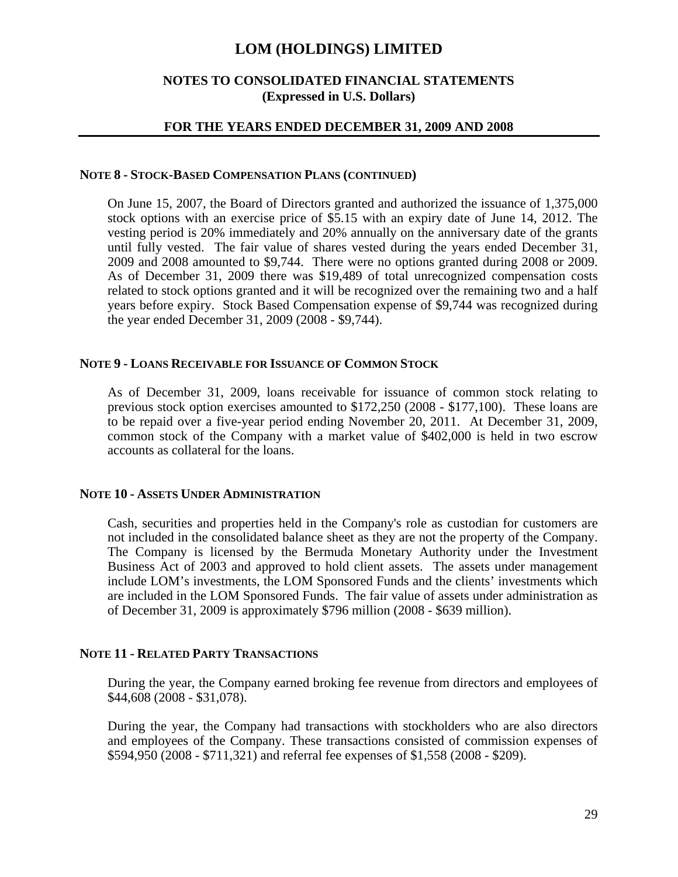## **NOTES TO CONSOLIDATED FINANCIAL STATEMENTS (Expressed in U.S. Dollars)**

### **FOR THE YEARS ENDED DECEMBER 31, 2009 AND 2008**

#### **NOTE 8 - STOCK-BASED COMPENSATION PLANS (CONTINUED)**

On June 15, 2007, the Board of Directors granted and authorized the issuance of 1,375,000 stock options with an exercise price of \$5.15 with an expiry date of June 14, 2012. The vesting period is 20% immediately and 20% annually on the anniversary date of the grants until fully vested. The fair value of shares vested during the years ended December 31, 2009 and 2008 amounted to \$9,744. There were no options granted during 2008 or 2009. As of December 31, 2009 there was \$19,489 of total unrecognized compensation costs related to stock options granted and it will be recognized over the remaining two and a half years before expiry. Stock Based Compensation expense of \$9,744 was recognized during the year ended December 31, 2009 (2008 - \$9,744).

#### **NOTE 9 - LOANS RECEIVABLE FOR ISSUANCE OF COMMON STOCK**

As of December 31, 2009, loans receivable for issuance of common stock relating to previous stock option exercises amounted to \$172,250 (2008 - \$177,100). These loans are to be repaid over a five-year period ending November 20, 2011. At December 31, 2009, common stock of the Company with a market value of \$402,000 is held in two escrow accounts as collateral for the loans.

#### **NOTE 10 - ASSETS UNDER ADMINISTRATION**

Cash, securities and properties held in the Company's role as custodian for customers are not included in the consolidated balance sheet as they are not the property of the Company. The Company is licensed by the Bermuda Monetary Authority under the Investment Business Act of 2003 and approved to hold client assets. The assets under management include LOM's investments, the LOM Sponsored Funds and the clients' investments which are included in the LOM Sponsored Funds. The fair value of assets under administration as of December 31, 2009 is approximately \$796 million (2008 - \$639 million).

### **NOTE 11 - RELATED PARTY TRANSACTIONS**

During the year, the Company earned broking fee revenue from directors and employees of \$44,608 (2008 - \$31,078).

During the year, the Company had transactions with stockholders who are also directors and employees of the Company. These transactions consisted of commission expenses of \$594,950 (2008 - \$711,321) and referral fee expenses of \$1,558 (2008 - \$209).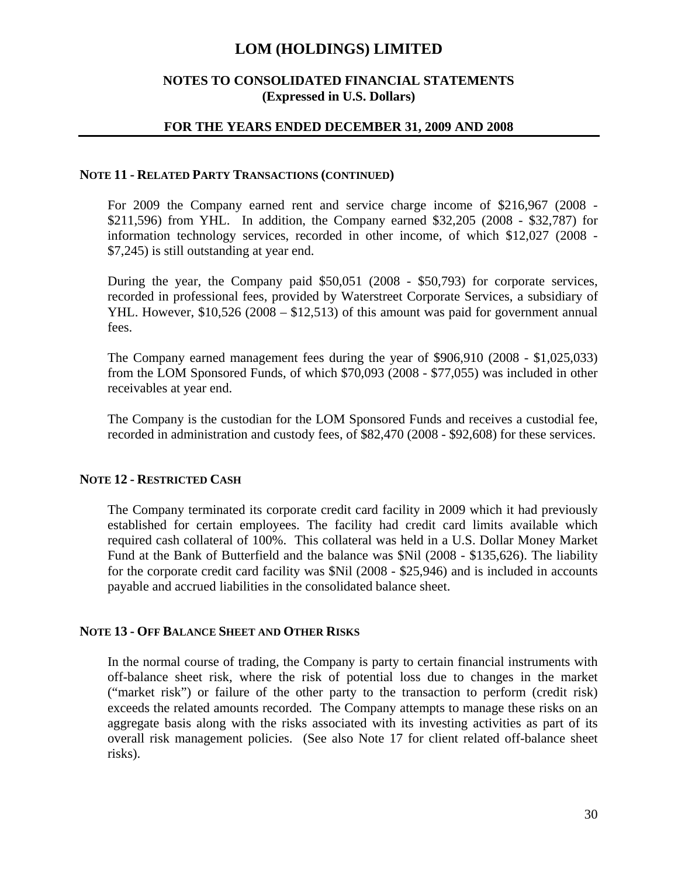## **NOTES TO CONSOLIDATED FINANCIAL STATEMENTS (Expressed in U.S. Dollars)**

### **FOR THE YEARS ENDED DECEMBER 31, 2009 AND 2008**

#### **NOTE 11 - RELATED PARTY TRANSACTIONS (CONTINUED)**

For 2009 the Company earned rent and service charge income of \$216,967 (2008 - \$211,596) from YHL. In addition, the Company earned \$32,205 (2008 - \$32,787) for information technology services, recorded in other income, of which \$12,027 (2008 - \$7,245) is still outstanding at year end.

During the year, the Company paid \$50,051 (2008 - \$50,793) for corporate services, recorded in professional fees, provided by Waterstreet Corporate Services, a subsidiary of YHL. However, \$10,526 (2008 – \$12,513) of this amount was paid for government annual fees.

The Company earned management fees during the year of \$906,910 (2008 - \$1,025,033) from the LOM Sponsored Funds, of which \$70,093 (2008 - \$77,055) was included in other receivables at year end.

The Company is the custodian for the LOM Sponsored Funds and receives a custodial fee, recorded in administration and custody fees, of \$82,470 (2008 - \$92,608) for these services.

#### **NOTE 12 - RESTRICTED CASH**

The Company terminated its corporate credit card facility in 2009 which it had previously established for certain employees. The facility had credit card limits available which required cash collateral of 100%. This collateral was held in a U.S. Dollar Money Market Fund at the Bank of Butterfield and the balance was \$Nil (2008 - \$135,626). The liability for the corporate credit card facility was \$Nil (2008 - \$25,946) and is included in accounts payable and accrued liabilities in the consolidated balance sheet.

#### **NOTE 13 - OFF BALANCE SHEET AND OTHER RISKS**

In the normal course of trading, the Company is party to certain financial instruments with off-balance sheet risk, where the risk of potential loss due to changes in the market ("market risk") or failure of the other party to the transaction to perform (credit risk) exceeds the related amounts recorded. The Company attempts to manage these risks on an aggregate basis along with the risks associated with its investing activities as part of its overall risk management policies. (See also Note 17 for client related off-balance sheet risks).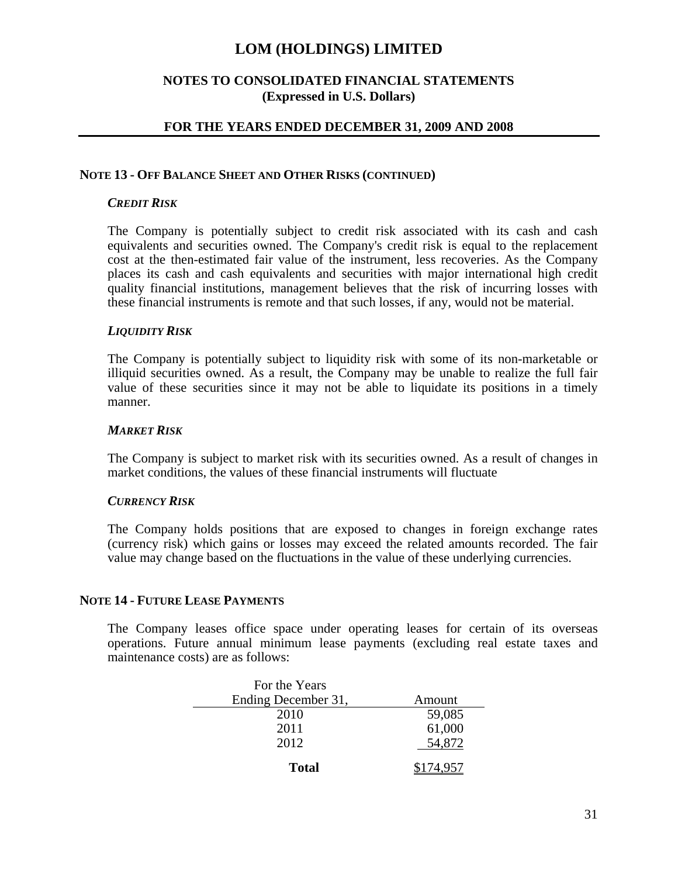## **NOTES TO CONSOLIDATED FINANCIAL STATEMENTS (Expressed in U.S. Dollars)**

## **FOR THE YEARS ENDED DECEMBER 31, 2009 AND 2008**

#### **NOTE 13 - OFF BALANCE SHEET AND OTHER RISKS (CONTINUED)**

### *CREDIT RISK*

The Company is potentially subject to credit risk associated with its cash and cash equivalents and securities owned. The Company's credit risk is equal to the replacement cost at the then-estimated fair value of the instrument, less recoveries. As the Company places its cash and cash equivalents and securities with major international high credit quality financial institutions, management believes that the risk of incurring losses with these financial instruments is remote and that such losses, if any, would not be material.

#### *LIQUIDITY RISK*

The Company is potentially subject to liquidity risk with some of its non-marketable or illiquid securities owned. As a result, the Company may be unable to realize the full fair value of these securities since it may not be able to liquidate its positions in a timely manner.

#### *MARKET RISK*

The Company is subject to market risk with its securities owned. As a result of changes in market conditions, the values of these financial instruments will fluctuate

#### *CURRENCY RISK*

The Company holds positions that are exposed to changes in foreign exchange rates (currency risk) which gains or losses may exceed the related amounts recorded. The fair value may change based on the fluctuations in the value of these underlying currencies.

#### **NOTE 14 - FUTURE LEASE PAYMENTS**

The Company leases office space under operating leases for certain of its overseas operations. Future annual minimum lease payments (excluding real estate taxes and maintenance costs) are as follows:

| For the Years       |        |
|---------------------|--------|
| Ending December 31, | Amount |
| 2010                | 59,085 |
| 2011                | 61,000 |
| 2012                | 54.872 |
| <b>Total</b>        | 957    |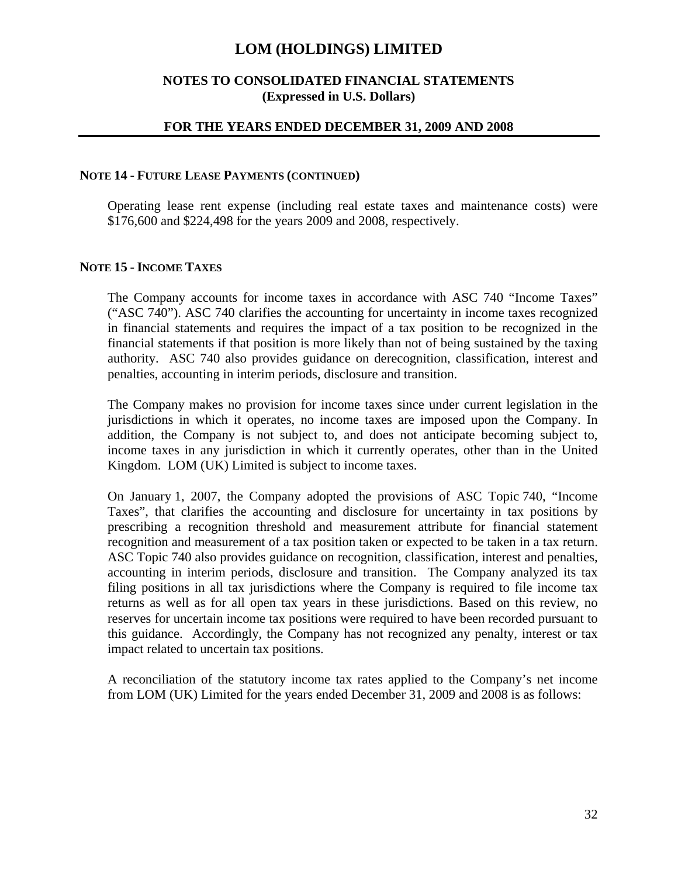## **NOTES TO CONSOLIDATED FINANCIAL STATEMENTS (Expressed in U.S. Dollars)**

### **FOR THE YEARS ENDED DECEMBER 31, 2009 AND 2008**

#### **NOTE 14 - FUTURE LEASE PAYMENTS (CONTINUED)**

Operating lease rent expense (including real estate taxes and maintenance costs) were \$176,600 and \$224,498 for the years 2009 and 2008, respectively.

### **NOTE 15 - INCOME TAXES**

The Company accounts for income taxes in accordance with ASC 740 "Income Taxes" ("ASC 740"). ASC 740 clarifies the accounting for uncertainty in income taxes recognized in financial statements and requires the impact of a tax position to be recognized in the financial statements if that position is more likely than not of being sustained by the taxing authority. ASC 740 also provides guidance on derecognition, classification, interest and penalties, accounting in interim periods, disclosure and transition.

The Company makes no provision for income taxes since under current legislation in the jurisdictions in which it operates, no income taxes are imposed upon the Company. In addition, the Company is not subject to, and does not anticipate becoming subject to, income taxes in any jurisdiction in which it currently operates, other than in the United Kingdom. LOM (UK) Limited is subject to income taxes.

On January 1, 2007, the Company adopted the provisions of ASC Topic 740, "Income Taxes", that clarifies the accounting and disclosure for uncertainty in tax positions by prescribing a recognition threshold and measurement attribute for financial statement recognition and measurement of a tax position taken or expected to be taken in a tax return. ASC Topic 740 also provides guidance on recognition, classification, interest and penalties, accounting in interim periods, disclosure and transition. The Company analyzed its tax filing positions in all tax jurisdictions where the Company is required to file income tax returns as well as for all open tax years in these jurisdictions. Based on this review, no reserves for uncertain income tax positions were required to have been recorded pursuant to this guidance. Accordingly, the Company has not recognized any penalty, interest or tax impact related to uncertain tax positions.

A reconciliation of the statutory income tax rates applied to the Company's net income from LOM (UK) Limited for the years ended December 31, 2009 and 2008 is as follows: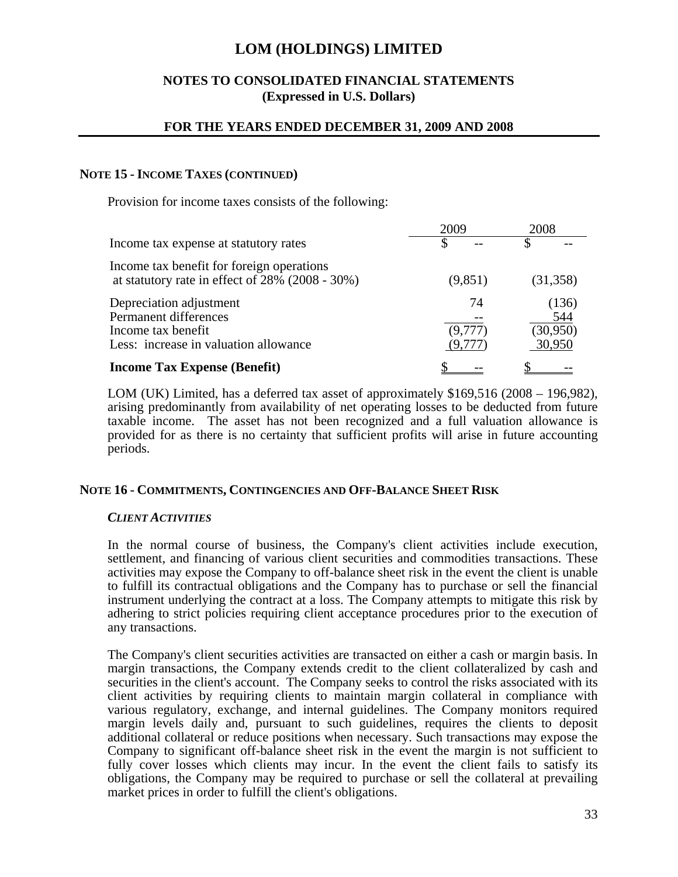## **NOTES TO CONSOLIDATED FINANCIAL STATEMENTS (Expressed in U.S. Dollars)**

### **FOR THE YEARS ENDED DECEMBER 31, 2009 AND 2008**

#### **NOTE 15 - INCOME TAXES (CONTINUED)**

Provision for income taxes consists of the following:

|                                                                                                                 | 2009                    | 2008                               |  |
|-----------------------------------------------------------------------------------------------------------------|-------------------------|------------------------------------|--|
| Income tax expense at statutory rates                                                                           |                         | S                                  |  |
| Income tax benefit for foreign operations<br>at statutory rate in effect of $28\%$ (2008 - 30%)                 | (9,851)                 | (31, 358)                          |  |
| Depreciation adjustment<br>Permanent differences<br>Income tax benefit<br>Less: increase in valuation allowance | 74<br>(9,777)<br>(9.777 | (136)<br>544<br>(30,950)<br>30,950 |  |
| <b>Income Tax Expense (Benefit)</b>                                                                             |                         |                                    |  |

LOM (UK) Limited, has a deferred tax asset of approximately \$169,516 (2008 – 196,982), arising predominantly from availability of net operating losses to be deducted from future taxable income. The asset has not been recognized and a full valuation allowance is provided for as there is no certainty that sufficient profits will arise in future accounting periods.

#### **NOTE 16 - COMMITMENTS, CONTINGENCIES AND OFF-BALANCE SHEET RISK**

#### *CLIENT ACTIVITIES*

In the normal course of business, the Company's client activities include execution, settlement, and financing of various client securities and commodities transactions. These activities may expose the Company to off-balance sheet risk in the event the client is unable to fulfill its contractual obligations and the Company has to purchase or sell the financial instrument underlying the contract at a loss. The Company attempts to mitigate this risk by adhering to strict policies requiring client acceptance procedures prior to the execution of any transactions.

The Company's client securities activities are transacted on either a cash or margin basis. In margin transactions, the Company extends credit to the client collateralized by cash and securities in the client's account. The Company seeks to control the risks associated with its client activities by requiring clients to maintain margin collateral in compliance with various regulatory, exchange, and internal guidelines. The Company monitors required margin levels daily and, pursuant to such guidelines, requires the clients to deposit additional collateral or reduce positions when necessary. Such transactions may expose the Company to significant off-balance sheet risk in the event the margin is not sufficient to fully cover losses which clients may incur. In the event the client fails to satisfy its obligations, the Company may be required to purchase or sell the collateral at prevailing market prices in order to fulfill the client's obligations.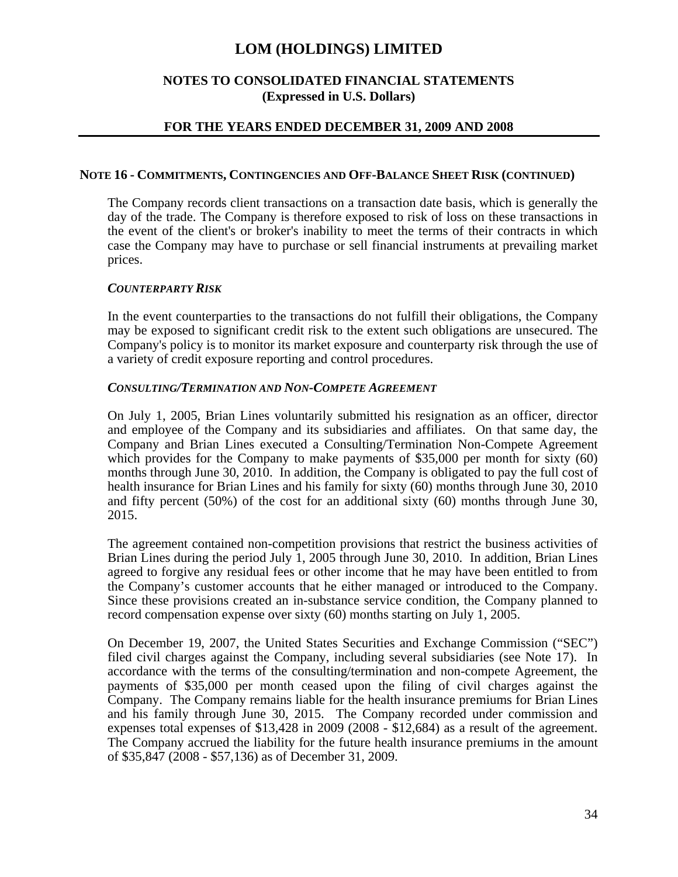### **NOTES TO CONSOLIDATED FINANCIAL STATEMENTS (Expressed in U.S. Dollars)**

## **FOR THE YEARS ENDED DECEMBER 31, 2009 AND 2008**

#### **NOTE 16 - COMMITMENTS, CONTINGENCIES AND OFF-BALANCE SHEET RISK (CONTINUED)**

The Company records client transactions on a transaction date basis, which is generally the day of the trade. The Company is therefore exposed to risk of loss on these transactions in the event of the client's or broker's inability to meet the terms of their contracts in which case the Company may have to purchase or sell financial instruments at prevailing market prices.

#### *COUNTERPARTY RISK*

In the event counterparties to the transactions do not fulfill their obligations, the Company may be exposed to significant credit risk to the extent such obligations are unsecured. The Company's policy is to monitor its market exposure and counterparty risk through the use of a variety of credit exposure reporting and control procedures.

#### *CONSULTING/TERMINATION AND NON-COMPETE AGREEMENT*

On July 1, 2005, Brian Lines voluntarily submitted his resignation as an officer, director and employee of the Company and its subsidiaries and affiliates. On that same day, the Company and Brian Lines executed a Consulting/Termination Non-Compete Agreement which provides for the Company to make payments of \$35,000 per month for sixty (60) months through June 30, 2010. In addition, the Company is obligated to pay the full cost of health insurance for Brian Lines and his family for sixty (60) months through June 30, 2010 and fifty percent (50%) of the cost for an additional sixty (60) months through June 30, 2015.

The agreement contained non-competition provisions that restrict the business activities of Brian Lines during the period July 1, 2005 through June 30, 2010. In addition, Brian Lines agreed to forgive any residual fees or other income that he may have been entitled to from the Company's customer accounts that he either managed or introduced to the Company. Since these provisions created an in-substance service condition, the Company planned to record compensation expense over sixty (60) months starting on July 1, 2005.

On December 19, 2007, the United States Securities and Exchange Commission ("SEC") filed civil charges against the Company, including several subsidiaries (see Note 17). In accordance with the terms of the consulting/termination and non-compete Agreement, the payments of \$35,000 per month ceased upon the filing of civil charges against the Company. The Company remains liable for the health insurance premiums for Brian Lines and his family through June 30, 2015. The Company recorded under commission and expenses total expenses of \$13,428 in 2009 (2008 - \$12,684) as a result of the agreement. The Company accrued the liability for the future health insurance premiums in the amount of \$35,847 (2008 - \$57,136) as of December 31, 2009.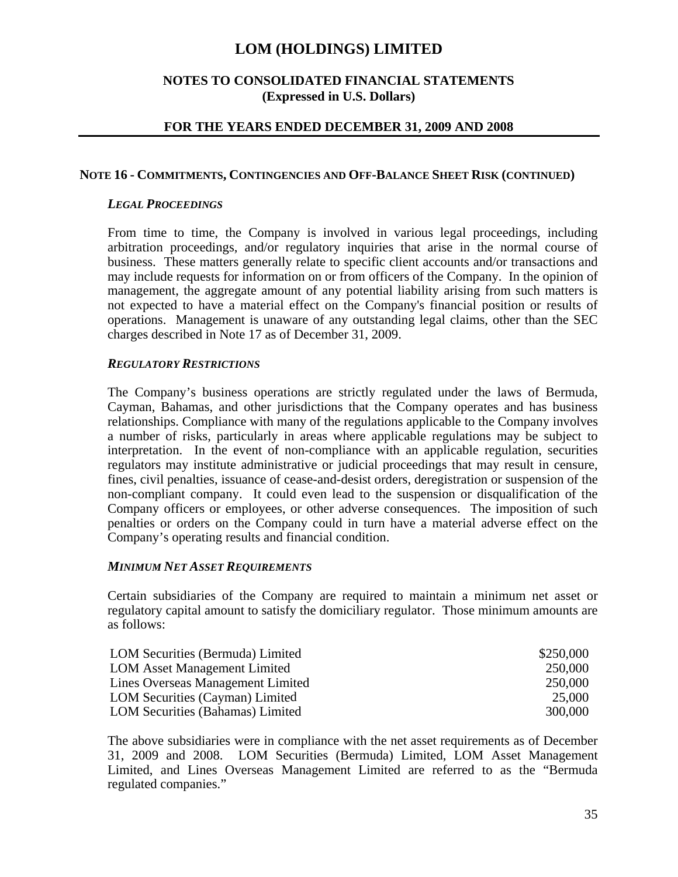## **NOTES TO CONSOLIDATED FINANCIAL STATEMENTS (Expressed in U.S. Dollars)**

### **FOR THE YEARS ENDED DECEMBER 31, 2009 AND 2008**

#### **NOTE 16 - COMMITMENTS, CONTINGENCIES AND OFF-BALANCE SHEET RISK (CONTINUED)**

### *LEGAL PROCEEDINGS*

From time to time, the Company is involved in various legal proceedings, including arbitration proceedings, and/or regulatory inquiries that arise in the normal course of business. These matters generally relate to specific client accounts and/or transactions and may include requests for information on or from officers of the Company. In the opinion of management, the aggregate amount of any potential liability arising from such matters is not expected to have a material effect on the Company's financial position or results of operations. Management is unaware of any outstanding legal claims, other than the SEC charges described in Note 17 as of December 31, 2009.

#### *REGULATORY RESTRICTIONS*

The Company's business operations are strictly regulated under the laws of Bermuda, Cayman, Bahamas, and other jurisdictions that the Company operates and has business relationships. Compliance with many of the regulations applicable to the Company involves a number of risks, particularly in areas where applicable regulations may be subject to interpretation. In the event of non-compliance with an applicable regulation, securities regulators may institute administrative or judicial proceedings that may result in censure, fines, civil penalties, issuance of cease-and-desist orders, deregistration or suspension of the non-compliant company. It could even lead to the suspension or disqualification of the Company officers or employees, or other adverse consequences. The imposition of such penalties or orders on the Company could in turn have a material adverse effect on the Company's operating results and financial condition.

#### *MINIMUM NET ASSET REQUIREMENTS*

Certain subsidiaries of the Company are required to maintain a minimum net asset or regulatory capital amount to satisfy the domiciliary regulator. Those minimum amounts are as follows:

| LOM Securities (Bermuda) Limited    | \$250,000 |
|-------------------------------------|-----------|
| <b>LOM Asset Management Limited</b> | 250,000   |
| Lines Overseas Management Limited   | 250,000   |
| LOM Securities (Cayman) Limited     | 25,000    |
| LOM Securities (Bahamas) Limited    | 300,000   |

The above subsidiaries were in compliance with the net asset requirements as of December 31, 2009 and 2008. LOM Securities (Bermuda) Limited, LOM Asset Management Limited, and Lines Overseas Management Limited are referred to as the "Bermuda regulated companies."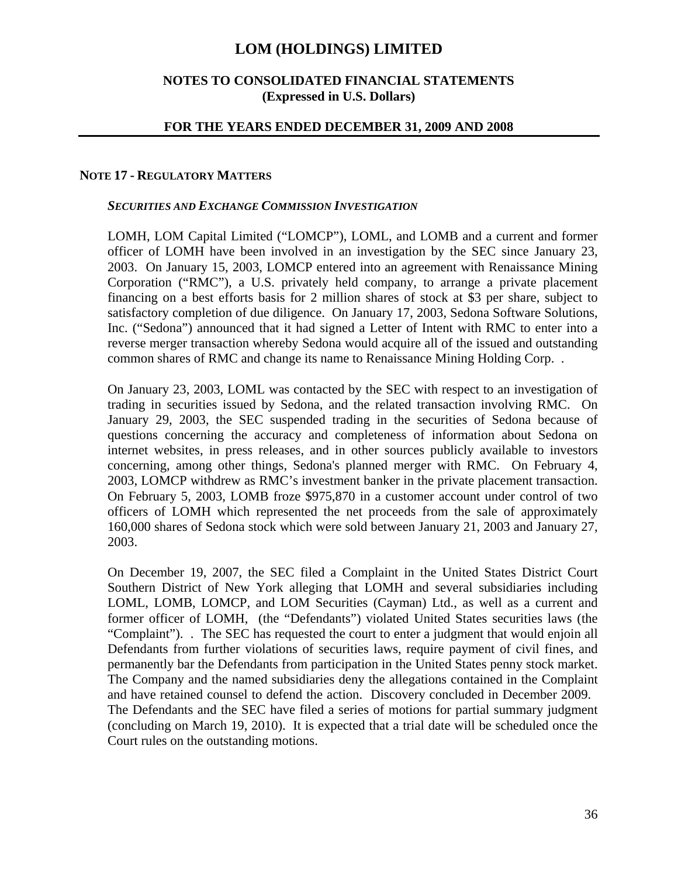## **NOTES TO CONSOLIDATED FINANCIAL STATEMENTS (Expressed in U.S. Dollars)**

### **FOR THE YEARS ENDED DECEMBER 31, 2009 AND 2008**

#### **NOTE 17 - REGULATORY MATTERS**

#### *SECURITIES AND EXCHANGE COMMISSION INVESTIGATION*

LOMH, LOM Capital Limited ("LOMCP"), LOML, and LOMB and a current and former officer of LOMH have been involved in an investigation by the SEC since January 23, 2003. On January 15, 2003, LOMCP entered into an agreement with Renaissance Mining Corporation ("RMC"), a U.S. privately held company, to arrange a private placement financing on a best efforts basis for 2 million shares of stock at \$3 per share, subject to satisfactory completion of due diligence. On January 17, 2003, Sedona Software Solutions, Inc. ("Sedona") announced that it had signed a Letter of Intent with RMC to enter into a reverse merger transaction whereby Sedona would acquire all of the issued and outstanding common shares of RMC and change its name to Renaissance Mining Holding Corp. .

On January 23, 2003, LOML was contacted by the SEC with respect to an investigation of trading in securities issued by Sedona, and the related transaction involving RMC. On January 29, 2003, the SEC suspended trading in the securities of Sedona because of questions concerning the accuracy and completeness of information about Sedona on internet websites, in press releases, and in other sources publicly available to investors concerning, among other things, Sedona's planned merger with RMC. On February 4, 2003, LOMCP withdrew as RMC's investment banker in the private placement transaction. On February 5, 2003, LOMB froze \$975,870 in a customer account under control of two officers of LOMH which represented the net proceeds from the sale of approximately 160,000 shares of Sedona stock which were sold between January 21, 2003 and January 27, 2003.

On December 19, 2007, the SEC filed a Complaint in the United States District Court Southern District of New York alleging that LOMH and several subsidiaries including LOML, LOMB, LOMCP, and LOM Securities (Cayman) Ltd., as well as a current and former officer of LOMH, (the "Defendants") violated United States securities laws (the "Complaint"). . The SEC has requested the court to enter a judgment that would enjoin all Defendants from further violations of securities laws, require payment of civil fines, and permanently bar the Defendants from participation in the United States penny stock market. The Company and the named subsidiaries deny the allegations contained in the Complaint and have retained counsel to defend the action. Discovery concluded in December 2009. The Defendants and the SEC have filed a series of motions for partial summary judgment (concluding on March 19, 2010). It is expected that a trial date will be scheduled once the Court rules on the outstanding motions.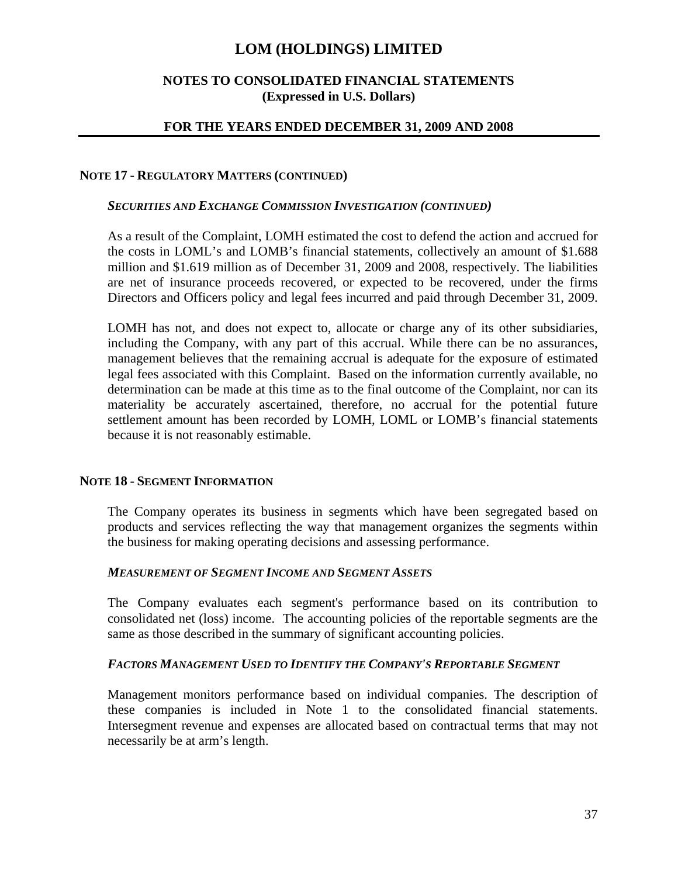## **NOTES TO CONSOLIDATED FINANCIAL STATEMENTS (Expressed in U.S. Dollars)**

### **FOR THE YEARS ENDED DECEMBER 31, 2009 AND 2008**

#### **NOTE 17 - REGULATORY MATTERS (CONTINUED)**

#### *SECURITIES AND EXCHANGE COMMISSION INVESTIGATION (CONTINUED)*

As a result of the Complaint, LOMH estimated the cost to defend the action and accrued for the costs in LOML's and LOMB's financial statements, collectively an amount of \$1.688 million and \$1.619 million as of December 31, 2009 and 2008, respectively. The liabilities are net of insurance proceeds recovered, or expected to be recovered, under the firms Directors and Officers policy and legal fees incurred and paid through December 31, 2009.

LOMH has not, and does not expect to, allocate or charge any of its other subsidiaries, including the Company, with any part of this accrual. While there can be no assurances, management believes that the remaining accrual is adequate for the exposure of estimated legal fees associated with this Complaint. Based on the information currently available, no determination can be made at this time as to the final outcome of the Complaint, nor can its materiality be accurately ascertained, therefore, no accrual for the potential future settlement amount has been recorded by LOMH, LOML or LOMB's financial statements because it is not reasonably estimable.

#### **NOTE 18 - SEGMENT INFORMATION**

The Company operates its business in segments which have been segregated based on products and services reflecting the way that management organizes the segments within the business for making operating decisions and assessing performance.

## *MEASUREMENT OF SEGMENT INCOME AND SEGMENT ASSETS*

The Company evaluates each segment's performance based on its contribution to consolidated net (loss) income. The accounting policies of the reportable segments are the same as those described in the summary of significant accounting policies.

### *FACTORS MANAGEMENT USED TO IDENTIFY THE COMPANY'S REPORTABLE SEGMENT*

Management monitors performance based on individual companies. The description of these companies is included in Note 1 to the consolidated financial statements. Intersegment revenue and expenses are allocated based on contractual terms that may not necessarily be at arm's length.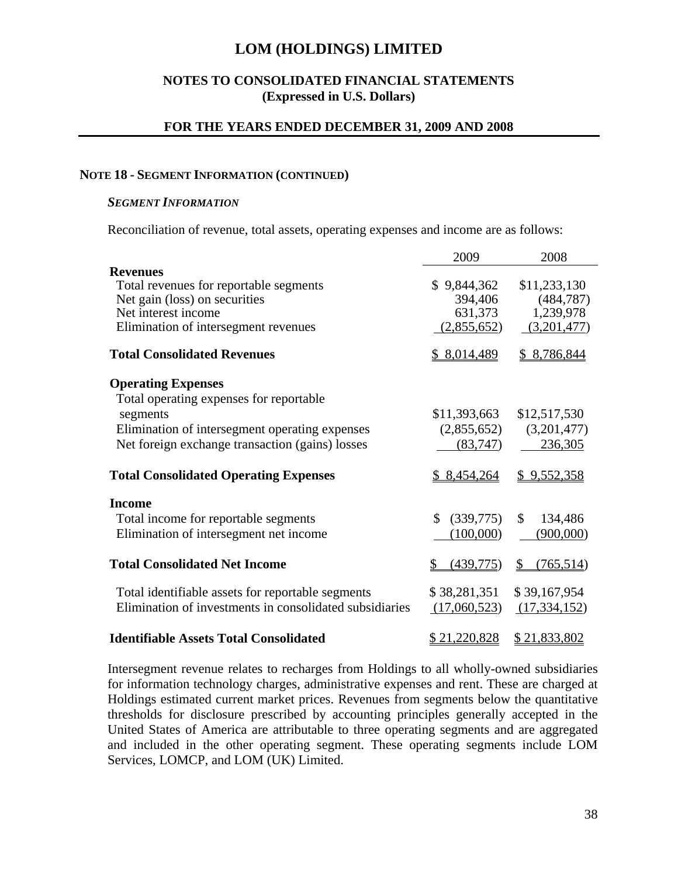## **NOTES TO CONSOLIDATED FINANCIAL STATEMENTS (Expressed in U.S. Dollars)**

### **FOR THE YEARS ENDED DECEMBER 31, 2009 AND 2008**

#### **NOTE 18 - SEGMENT INFORMATION (CONTINUED)**

### *SEGMENT INFORMATION*

Reconciliation of revenue, total assets, operating expenses and income are as follows:

|                                                         | 2009            | 2008              |  |
|---------------------------------------------------------|-----------------|-------------------|--|
| <b>Revenues</b>                                         |                 |                   |  |
| Total revenues for reportable segments                  | \$9,844,362     | \$11,233,130      |  |
| Net gain (loss) on securities                           | 394,406         | (484, 787)        |  |
| Net interest income                                     | 631,373         | 1,239,978         |  |
| Elimination of intersegment revenues                    | (2,855,652)     | (3,201,477)       |  |
| <b>Total Consolidated Revenues</b>                      | \$8,014,489     | \$8,786,844       |  |
| <b>Operating Expenses</b>                               |                 |                   |  |
| Total operating expenses for reportable                 |                 |                   |  |
| segments                                                | \$11,393,663    | \$12,517,530      |  |
| Elimination of intersegment operating expenses          | (2,855,652)     | (3,201,477)       |  |
| Net foreign exchange transaction (gains) losses         | (83,747)        | 236,305           |  |
| <b>Total Consolidated Operating Expenses</b>            | \$8,454,264     | \$9,552,358       |  |
| <b>Income</b>                                           |                 |                   |  |
| Total income for reportable segments                    | (339,775)<br>\$ | \$<br>134,486     |  |
| Elimination of intersegment net income                  | (100,000)       | (900,000)         |  |
| <b>Total Consolidated Net Income</b>                    | (439,775)       | (765, 514)<br>\$. |  |
| Total identifiable assets for reportable segments       | \$38,281,351    | \$39,167,954      |  |
| Elimination of investments in consolidated subsidiaries | (17,060,523)    | (17, 334, 152)    |  |
| <b>Identifiable Assets Total Consolidated</b>           | \$21,220,828    | \$21,833,802      |  |

Intersegment revenue relates to recharges from Holdings to all wholly-owned subsidiaries for information technology charges, administrative expenses and rent. These are charged at Holdings estimated current market prices. Revenues from segments below the quantitative thresholds for disclosure prescribed by accounting principles generally accepted in the United States of America are attributable to three operating segments and are aggregated and included in the other operating segment. These operating segments include LOM Services, LOMCP, and LOM (UK) Limited.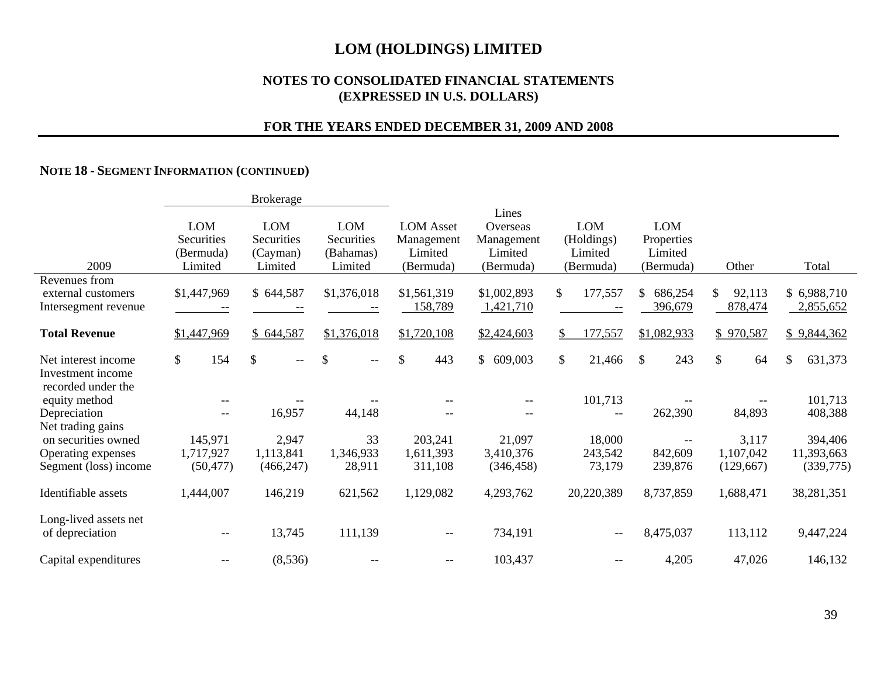### **NOTES TO CONSOLIDATED FINANCIAL STATEMENTS (EXPRESSED IN U.S. DOLLARS)**

## **FOR THE YEARS ENDED DECEMBER 31, 2009 AND 2008**

#### **NOTE 18 - SEGMENT INFORMATION (CONTINUED)**

|                                                                |                                                  | <b>Brokerage</b>                                |                                           |                                                        |                                                         |                                                  |                                                  |                                 |                          |
|----------------------------------------------------------------|--------------------------------------------------|-------------------------------------------------|-------------------------------------------|--------------------------------------------------------|---------------------------------------------------------|--------------------------------------------------|--------------------------------------------------|---------------------------------|--------------------------|
| 2009                                                           | <b>LOM</b><br>Securities<br>(Bermuda)<br>Limited | <b>LOM</b><br>Securities<br>(Cayman)<br>Limited | LOM<br>Securities<br>(Bahamas)<br>Limited | <b>LOM</b> Asset<br>Management<br>Limited<br>(Bermuda) | Lines<br>Overseas<br>Management<br>Limited<br>(Bermuda) | <b>LOM</b><br>(Holdings)<br>Limited<br>(Bermuda) | <b>LOM</b><br>Properties<br>Limited<br>(Bermuda) | Other                           | Total                    |
| Revenues from                                                  |                                                  |                                                 |                                           |                                                        |                                                         |                                                  |                                                  |                                 |                          |
| external customers<br>Intersegment revenue                     | \$1,447,969                                      | \$644,587                                       | \$1,376,018                               | \$1,561,319<br>158,789                                 | \$1,002,893<br>1,421,710                                | 177,557<br>\$                                    | 686,254<br>\$<br>396,679                         | 92,113<br>\$<br>878,474         | \$6,988,710<br>2,855,652 |
| <b>Total Revenue</b>                                           | \$1,447,969                                      | \$644,587                                       | \$1,376,018                               | \$1,720,108                                            | \$2,424,603                                             | 77,557<br>S.                                     | \$1,082,933                                      | \$970,587                       | \$9,844,362              |
| Net interest income<br>Investment income<br>recorded under the | $\mathbb{S}$<br>154                              | \$<br>$- -$                                     | $\mathcal{S}$<br>$\overline{\phantom{a}}$ | \$<br>443                                              | \$609,003                                               | \$<br>21,466                                     | \$<br>243                                        | $\boldsymbol{\mathsf{S}}$<br>64 | \$<br>631,373            |
| equity method                                                  |                                                  |                                                 |                                           |                                                        |                                                         | 101,713                                          |                                                  |                                 | 101,713                  |
| Depreciation<br>Net trading gains                              | $\overline{\phantom{m}}$                         | 16,957                                          | 44,148                                    |                                                        | --                                                      | $\overline{\phantom{m}}$                         | 262,390                                          | 84,893                          | 408,388                  |
| on securities owned                                            | 145,971                                          | 2,947                                           | 33                                        | 203,241                                                | 21,097                                                  | 18,000                                           |                                                  | 3,117                           | 394,406                  |
| Operating expenses                                             | 1,717,927                                        | 1,113,841                                       | 1,346,933                                 | 1,611,393                                              | 3,410,376                                               | 243,542                                          | 842,609                                          | 1,107,042                       | 11,393,663               |
| Segment (loss) income                                          | (50, 477)                                        | (466, 247)                                      | 28,911                                    | 311,108                                                | (346, 458)                                              | 73,179                                           | 239,876                                          | (129,667)                       | (339,775)                |
| Identifiable assets                                            | 1,444,007                                        | 146,219                                         | 621,562                                   | 1,129,082                                              | 4,293,762                                               | 20,220,389                                       | 8,737,859                                        | 1,688,471                       | 38,281,351               |
| Long-lived assets net<br>of depreciation                       | $--$                                             | 13,745                                          | 111,139                                   | $--$                                                   | 734,191                                                 | $- -$                                            | 8,475,037                                        | 113,112                         | 9,447,224                |
| Capital expenditures                                           | $-\,-$                                           | (8, 536)                                        |                                           | $- -$                                                  | 103,437                                                 | $-\,-$                                           | 4,205                                            | 47,026                          | 146,132                  |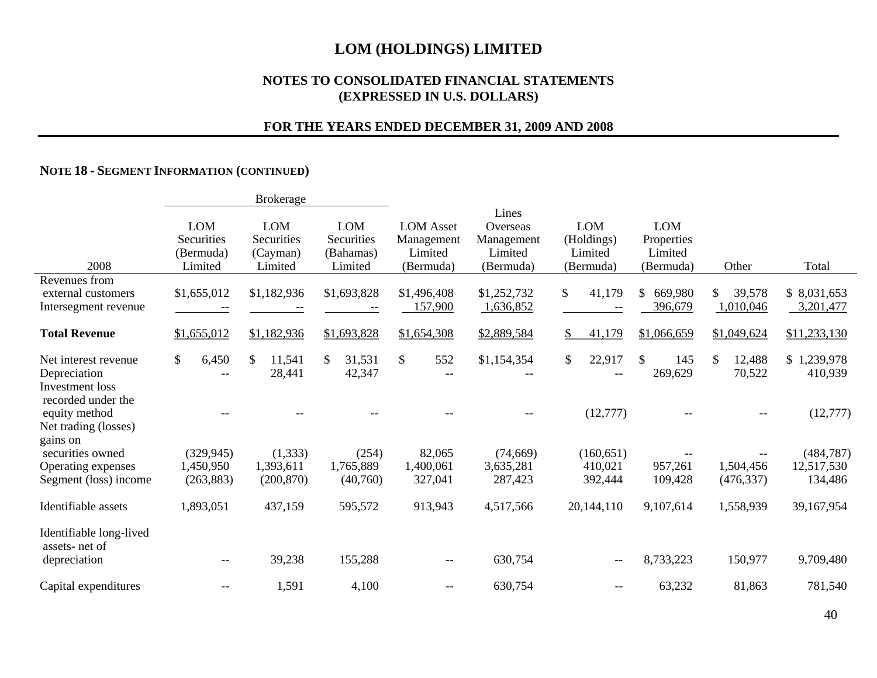#### **NOTES TO CONSOLIDATED FINANCIAL STATEMENTS (EXPRESSED IN U.S. DOLLARS)**

## **FOR THE YEARS ENDED DECEMBER 31, 2009 AND 2008**

#### **NOTE 18 - SEGMENT INFORMATION (CONTINUED)**

|                                                                         |                                                  | <b>Brokerage</b>                                |                                                  |                                                        |                                                         |                                                  |                                                  |                           |                          |
|-------------------------------------------------------------------------|--------------------------------------------------|-------------------------------------------------|--------------------------------------------------|--------------------------------------------------------|---------------------------------------------------------|--------------------------------------------------|--------------------------------------------------|---------------------------|--------------------------|
| 2008                                                                    | <b>LOM</b><br>Securities<br>(Bermuda)<br>Limited | <b>LOM</b><br>Securities<br>(Cayman)<br>Limited | <b>LOM</b><br>Securities<br>(Bahamas)<br>Limited | <b>LOM</b> Asset<br>Management<br>Limited<br>(Bermuda) | Lines<br>Overseas<br>Management<br>Limited<br>(Bermuda) | <b>LOM</b><br>(Holdings)<br>Limited<br>(Bermuda) | <b>LOM</b><br>Properties<br>Limited<br>(Bermuda) | Other                     | Total                    |
| Revenues from<br>external customers<br>Intersegment revenue             | \$1,655,012                                      | \$1,182,936                                     | \$1,693,828                                      | \$1,496,408<br>157,900                                 | \$1,252,732<br>1,636,852                                | \$<br>41,179                                     | \$<br>669,980<br>396,679                         | 39,578<br>\$<br>1,010,046 | \$8,031,653<br>3,201,477 |
| <b>Total Revenue</b>                                                    | \$1,655,012                                      | \$1,182,936                                     | \$1,693,828                                      | \$1,654,308                                            | \$2,889,584                                             | \$<br>41,179                                     | \$1,066,659                                      | \$1,049,624               | \$11,233,130             |
| Net interest revenue<br>Depreciation<br><b>Investment</b> loss          | \$<br>6,450<br>$\overline{\phantom{m}}$          | $\mathcal{S}$<br>11,541<br>28,441               | 31,531<br>42,347                                 | $\mathbb{S}$<br>552<br>$-\,-$                          | \$1,154,354                                             | \$<br>22,917<br>$\overline{\phantom{m}}$         | $\mathbb{S}$<br>145<br>269,629                   | \$<br>12,488<br>70,522    | \$1,239,978<br>410,939   |
| recorded under the<br>equity method<br>Net trading (losses)<br>gains on |                                                  |                                                 |                                                  |                                                        |                                                         | (12, 777)                                        |                                                  |                           | (12, 777)                |
| securities owned                                                        | (329, 945)                                       | (1, 333)                                        | (254)                                            | 82,065                                                 | (74, 669)                                               | (160, 651)                                       |                                                  |                           | (484, 787)               |
| Operating expenses<br>Segment (loss) income                             | 1,450,950<br>(263, 883)                          | 1,393,611<br>(200, 870)                         | 1,765,889<br>(40,760)                            | 1,400,061<br>327,041                                   | 3,635,281<br>287,423                                    | 410,021<br>392,444                               | 957,261<br>109,428                               | 1,504,456<br>(476, 337)   | 12,517,530<br>134,486    |
| Identifiable assets                                                     | 1,893,051                                        | 437,159                                         | 595,572                                          | 913,943                                                | 4,517,566                                               | 20,144,110                                       | 9,107,614                                        | 1,558,939                 | 39,167,954               |
| Identifiable long-lived<br>assets-net of                                |                                                  |                                                 |                                                  |                                                        |                                                         |                                                  |                                                  |                           |                          |
| depreciation                                                            | $\overline{\phantom{m}}$                         | 39,238                                          | 155,288                                          |                                                        | 630,754                                                 | $\qquad \qquad -$                                | 8,733,223                                        | 150,977                   | 9,709,480                |
| Capital expenditures                                                    |                                                  | 1,591                                           | 4,100                                            |                                                        | 630,754                                                 |                                                  | 63,232                                           | 81,863                    | 781,540                  |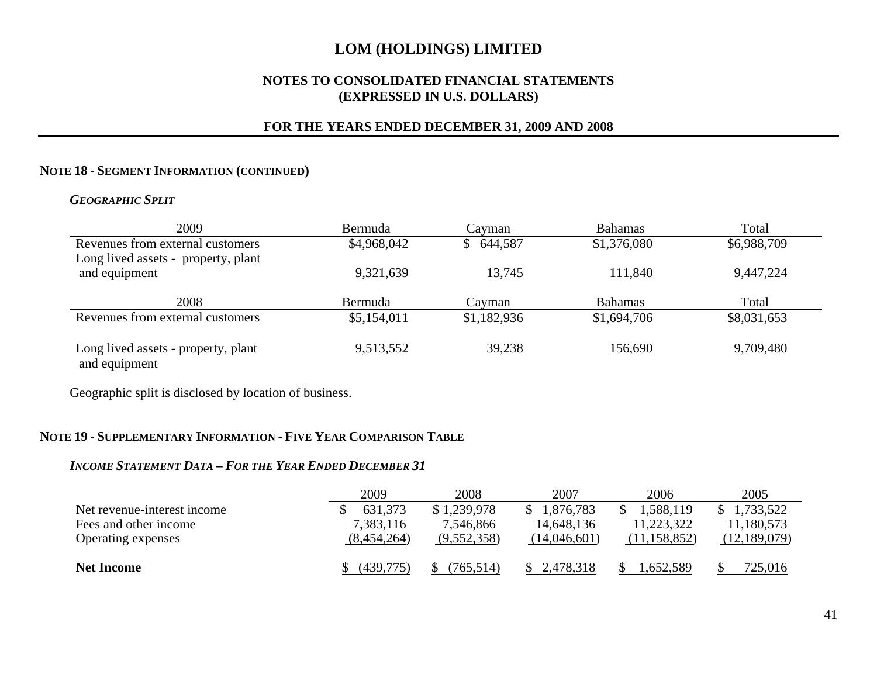## **NOTES TO CONSOLIDATED FINANCIAL STATEMENTS (EXPRESSED IN U.S. DOLLARS)**

## **FOR THE YEARS ENDED DECEMBER 31, 2009 AND 2008**

#### **NOTE 18 - SEGMENT INFORMATION (CONTINUED)**

## *GEOGRAPHIC SPLIT*

| 2009                                                                    | Bermuda        | Cayman                  | <b>Bahamas</b> | Total       |
|-------------------------------------------------------------------------|----------------|-------------------------|----------------|-------------|
| Revenues from external customers<br>Long lived assets - property, plant | \$4,968,042    | 644,587<br><sup>S</sup> | \$1,376,080    | \$6,988,709 |
| and equipment                                                           | 9,321,639      | 13,745                  | 111,840        | 9,447,224   |
| 2008                                                                    | <b>Bermuda</b> | Cavman                  | <b>Bahamas</b> | Total       |
| Revenues from external customers                                        | \$5,154,011    | \$1,182,936             | \$1,694,706    | \$8,031,653 |
| Long lived assets - property, plant<br>and equipment                    | 9,513,552      | 39,238                  | 156,690        | 9,709,480   |

Geographic split is disclosed by location of business.

#### **NOTE 19 - SUPPLEMENTARY INFORMATION - FIVE YEAR COMPARISON TABLE**

#### *INCOME STATEMENT DATA – FOR THE YEAR ENDED DECEMBER 31*

|                             | 2009        | 2008        | 2007         | 2006           | 2005           |
|-----------------------------|-------------|-------------|--------------|----------------|----------------|
| Net revenue-interest income | 631,373     | \$1,239,978 | 1,876,783    | 1,588,119      | ,733,522       |
| Fees and other income       | 7,383,116   | 7,546,866   | 14,648,136   | 11,223,322     | 11,180,573     |
| Operating expenses          | (8,454,264) | (9,552,358) | (14,046,601) | (11, 158, 852) | (12, 189, 079) |
|                             |             |             |              |                |                |
| <b>Net Income</b>           | (439,775)   | (765, 514)  | 2,478,318    | .652.589       | 725,016        |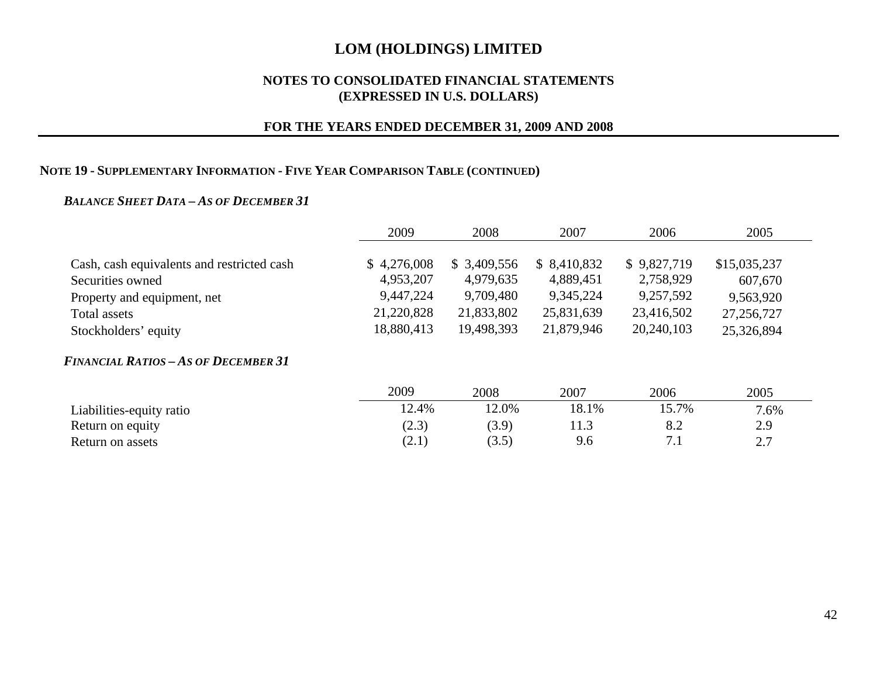### **NOTES TO CONSOLIDATED FINANCIAL STATEMENTS (EXPRESSED IN U.S. DOLLARS)**

## **FOR THE YEARS ENDED DECEMBER 31, 2009 AND 2008**

#### **NOTE 19 - SUPPLEMENTARY INFORMATION - FIVE YEAR COMPARISON TABLE (CONTINUED)**

#### *BALANCE SHEET DATA – AS OF DECEMBER 31*

|                                            | 2009        | 2008        | 2007         | 2006        | 2005         |
|--------------------------------------------|-------------|-------------|--------------|-------------|--------------|
|                                            |             |             |              |             |              |
| Cash, cash equivalents and restricted cash | \$4,276,008 | \$3,409,556 | \$ 8,410,832 | \$9,827,719 | \$15,035,237 |
| Securities owned                           | 4,953,207   | 4,979,635   | 4,889,451    | 2,758,929   | 607,670      |
| Property and equipment, net                | 9,447,224   | 9,709,480   | 9,345,224    | 9,257,592   | 9,563,920    |
| Total assets                               | 21,220,828  | 21,833,802  | 25,831,639   | 23,416,502  | 27, 256, 727 |
| Stockholders' equity                       | 18,880,413  | 19,498,393  | 21,879,946   | 20,240,103  | 25,326,894   |

#### *FINANCIAL RATIOS – AS OF DECEMBER 31*

|                          | 2009  | 2008  | 2007  | 2006                  | 2005                  |
|--------------------------|-------|-------|-------|-----------------------|-----------------------|
| Liabilities-equity ratio | 12.4% | 2.0%  | 18.1% | 15.7%                 | 7.6%                  |
| Return on equity         | (2.3) | (3.9) | 11.J  | ∪.∠                   | 2.9                   |
| Return on assets         | (21)  | (3.5) | 9.6   | $\overline{ }$<br>. . | $\cap$ $\Box$<br>ا مط |